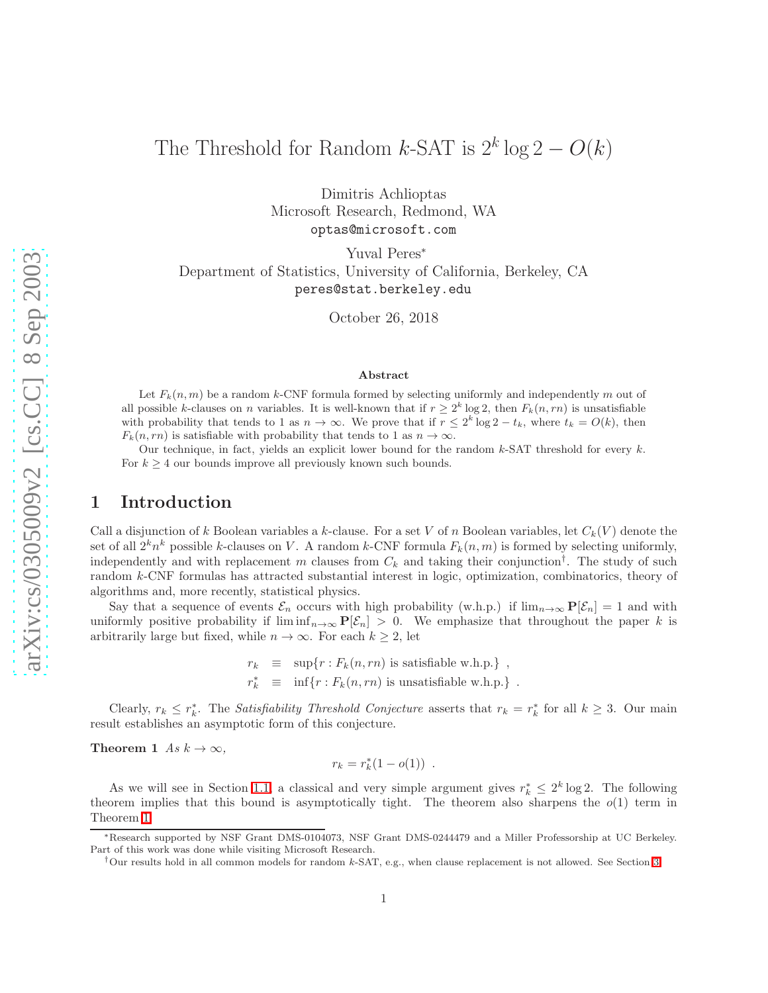# The Threshold for Random  $k$ -SAT is  $2^k \log 2 - O(k)$

Dimitris Achlioptas Microsoft Research, Redmond, WA optas@microsoft.com

Yuval Peres<sup>∗</sup> Department of Statistics, University of California, Berkeley, CA peres@stat.berkeley.edu

October 26, 2018

#### Abstract

Let  $F_k(n,m)$  be a random k-CNF formula formed by selecting uniformly and independently m out of all possible k-clauses on n variables. It is well-known that if  $r \geq 2^k \log 2$ , then  $F_k(n, rn)$  is unsatisfiable with probability that tends to 1 as  $n \to \infty$ . We prove that if  $r \leq 2^k \log 2 - t_k$ , where  $t_k = O(k)$ , then  $F_k(n, rn)$  is satisfiable with probability that tends to 1 as  $n \to \infty$ .

Our technique, in fact, yields an explicit lower bound for the random  $k$ -SAT threshold for every  $k$ . For  $k \geq 4$  our bounds improve all previously known such bounds.

### 1 Introduction

Call a disjunction of k Boolean variables a k-clause. For a set V of n Boolean variables, let  $C_k(V)$  denote the set of all  $2^k n^k$  possible k-clauses on V. A random k-CNF formula  $F_k(n,m)$  is formed by selecting uniformly, independently and with replacement m clauses from  $C_k$  and taking their conjunction<sup>†</sup>. The study of such random k-CNF formulas has attracted substantial interest in logic, optimization, combinatorics, theory of algorithms and, more recently, statistical physics.

Say that a sequence of events  $\mathcal{E}_n$  occurs with high probability (w.h.p.) if  $\lim_{n\to\infty} P[\mathcal{E}_n] = 1$  and with uniformly positive probability if  $\liminf_{n\to\infty} P[\mathcal{E}_n] > 0$ . We emphasize that throughout the paper k is arbitrarily large but fixed, while  $n \to \infty$ . For each  $k \geq 2$ , let

$$
r_k \equiv \sup \{ r : F_k(n, rn) \text{ is satisfiable w.h.p.} \},
$$
  

$$
r_k^* \equiv \inf \{ r : F_k(n, rn) \text{ is unsatisfiable w.h.p.} \}.
$$

Clearly,  $r_k \leq r_k^*$ . The *Satisfiability Threshold Conjecture* asserts that  $r_k = r_k^*$  for all  $k \geq 3$ . Our main result establishes an asymptotic form of this conjecture.

Theorem 1 As  $k \to \infty$ ,

<span id="page-0-0"></span>
$$
r_k = r_k^*(1 - o(1)) \enspace .
$$

<span id="page-0-1"></span>As we will see in Section [1.1,](#page-1-0) a classical and very simple argument gives  $r_k^* \leq 2^k \log 2$ . The following theorem implies that this bound is asymptotically tight. The theorem also sharpens the  $o(1)$  term in Theorem [1.](#page-0-0)

<sup>∗</sup>Research supported by NSF Grant DMS-0104073, NSF Grant DMS-0244479 and a Miller Professorship at UC Berkeley. Part of this work was done while visiting Microsoft Research.

<sup>†</sup>Our results hold in all common models for random k-SAT, e.g., when clause replacement is not allowed. See Section [3.](#page-7-0)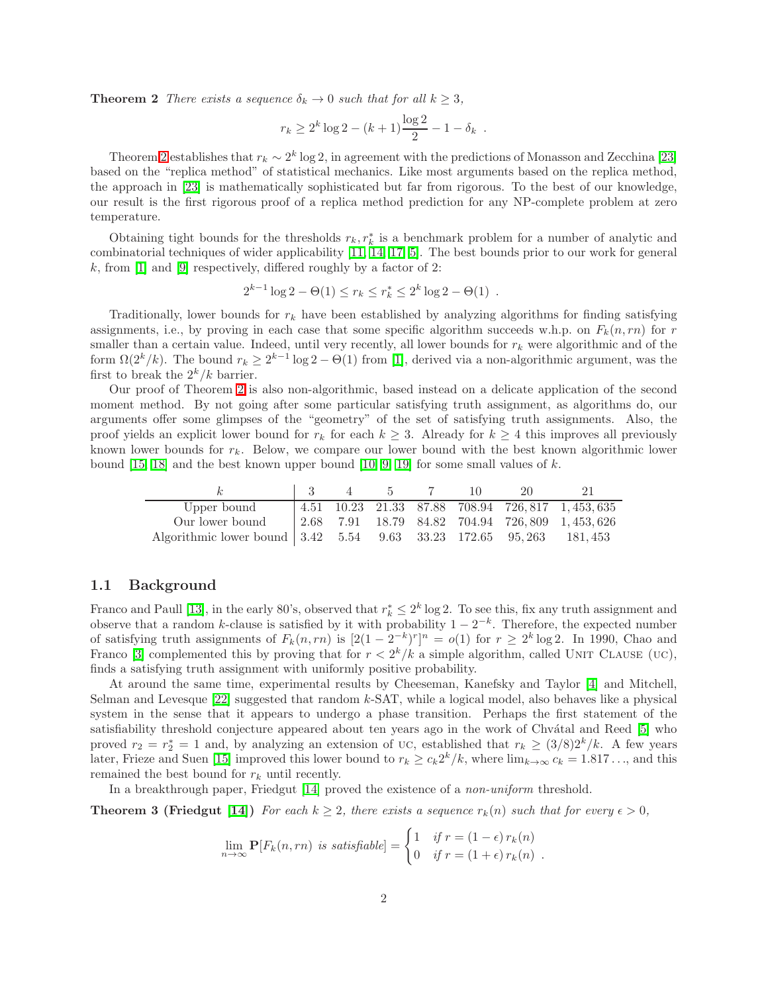**Theorem 2** There exists a sequence  $\delta_k \to 0$  such that for all  $k \geq 3$ ,

$$
r_k \ge 2^k \log 2 - (k+1) \frac{\log 2}{2} - 1 - \delta_k.
$$

Theorem [2](#page-0-1) establishes that  $r_k \sim 2^k \log 2$ , in agreement with the predictions of Monasson and Zecchina [\[23\]](#page-23-0) based on the "replica method" of statistical mechanics. Like most arguments based on the replica method, the approach in [\[23\]](#page-23-0) is mathematically sophisticated but far from rigorous. To the best of our knowledge, our result is the first rigorous proof of a replica method prediction for any NP-complete problem at zero temperature.

Obtaining tight bounds for the thresholds  $r_k, r_k^*$  is a benchmark problem for a number of analytic and combinatorial techniques of wider applicability [\[11,](#page-22-0) [14,](#page-23-1) [17,](#page-23-2) [5\]](#page-22-1). The best bounds prior to our work for general k, from [\[1\]](#page-22-2) and [\[9\]](#page-22-3) respectively, differed roughly by a factor of 2:

$$
2^{k-1}\log 2 - \Theta(1) \le r_k \le r_k^* \le 2^k \log 2 - \Theta(1) .
$$

Traditionally, lower bounds for  $r_k$  have been established by analyzing algorithms for finding satisfying assignments, i.e., by proving in each case that some specific algorithm succeeds w.h.p. on  $F_k(n, rn)$  for r smaller than a certain value. Indeed, until very recently, all lower bounds for  $r_k$  were algorithmic and of the form  $\Omega(2^k/k)$ . The bound  $r_k \geq 2^{k-1}\log 2 - \Theta(1)$  from [\[1\]](#page-22-2), derived via a non-algorithmic argument, was the first to break the  $2^k/k$  barrier.

Our proof of Theorem [2](#page-0-1) is also non-algorithmic, based instead on a delicate application of the second moment method. By not going after some particular satisfying truth assignment, as algorithms do, our arguments offer some glimpses of the "geometry" of the set of satisfying truth assignments. Also, the proof yields an explicit lower bound for  $r_k$  for each  $k \geq 3$ . Already for  $k \geq 4$  this improves all previously known lower bounds for  $r_k$ . Below, we compare our lower bound with the best known algorithmic lower bound  $[15, 18]$  $[15, 18]$  and the best known upper bound  $[10, 9, 19]$  $[10, 9, 19]$  $[10, 9, 19]$  for some small values of k.

|                                                                                  |  |  | 10. | 20 | 21                                                                                              |
|----------------------------------------------------------------------------------|--|--|-----|----|-------------------------------------------------------------------------------------------------|
| Upper bound                                                                      |  |  |     |    | $\begin{array}{cccccc} 4.51 & 10.23 & 21.33 & 87.88 & 708.94 & 726,817 & 1,453,635 \end{array}$ |
| Our lower bound                                                                  |  |  |     |    | $\vert$ 2.68 7.91 18.79 84.82 704.94 726,809 1,453,626                                          |
| Algorithmic lower bound   3.42   5.54   9.63   33.23   172.65   95,263   181,453 |  |  |     |    |                                                                                                 |

#### <span id="page-1-0"></span>1.1 Background

Franco and Paull [\[13\]](#page-23-6), in the early 80's, observed that  $r_k^* \leq 2^k \log 2$ . To see this, fix any truth assignment and observe that a random k-clause is satisfied by it with probability  $1 - 2^{-k}$ . Therefore, the expected number of satisfying truth assignments of  $F_k(n, rn)$  is  $[2(1-2^{-k})^r]^n = o(1)$  for  $r \geq 2^k \log 2$ . In 1990, Chao and Franco [\[3\]](#page-22-5) complemented this by proving that for  $r < 2^k/k$  a simple algorithm, called UNIT CLAUSE (UC), finds a satisfying truth assignment with uniformly positive probability.

At around the same time, experimental results by Cheeseman, Kanefsky and Taylor [\[4\]](#page-22-6) and Mitchell, Selman and Levesque [\[22\]](#page-23-7) suggested that random k-SAT, while a logical model, also behaves like a physical system in the sense that it appears to undergo a phase transition. Perhaps the first statement of the satisfiability threshold conjecture appeared about ten years ago in the work of Chvátal and Reed [\[5\]](#page-22-1) who proved  $r_2 = r_2^* = 1$  and, by analyzing an extension of UC, established that  $r_k \geq (3/8)2^k/k$ . A few years later, Frieze and Suen [\[15\]](#page-23-3) improved this lower bound to  $r_k \geq c_k 2^k/k$ , where  $\lim_{k\to\infty} c_k = 1.817...$ , and this remained the best bound for  $r_k$  until recently.

In a breakthrough paper, Friedgut [\[14\]](#page-23-1) proved the existence of a *non-uniform* threshold.

**Theorem 3 (Friedgut [\[14\]](#page-23-1))** For each  $k \geq 2$ , there exists a sequence  $r_k(n)$  such that for every  $\epsilon > 0$ ,

<span id="page-1-1"></span>
$$
\lim_{n \to \infty} \mathbf{P}[F_k(n, rn) \text{ is satisfiable}] = \begin{cases} 1 & \text{if } r = (1 - \epsilon) r_k(n) \\ 0 & \text{if } r = (1 + \epsilon) r_k(n) \end{cases}.
$$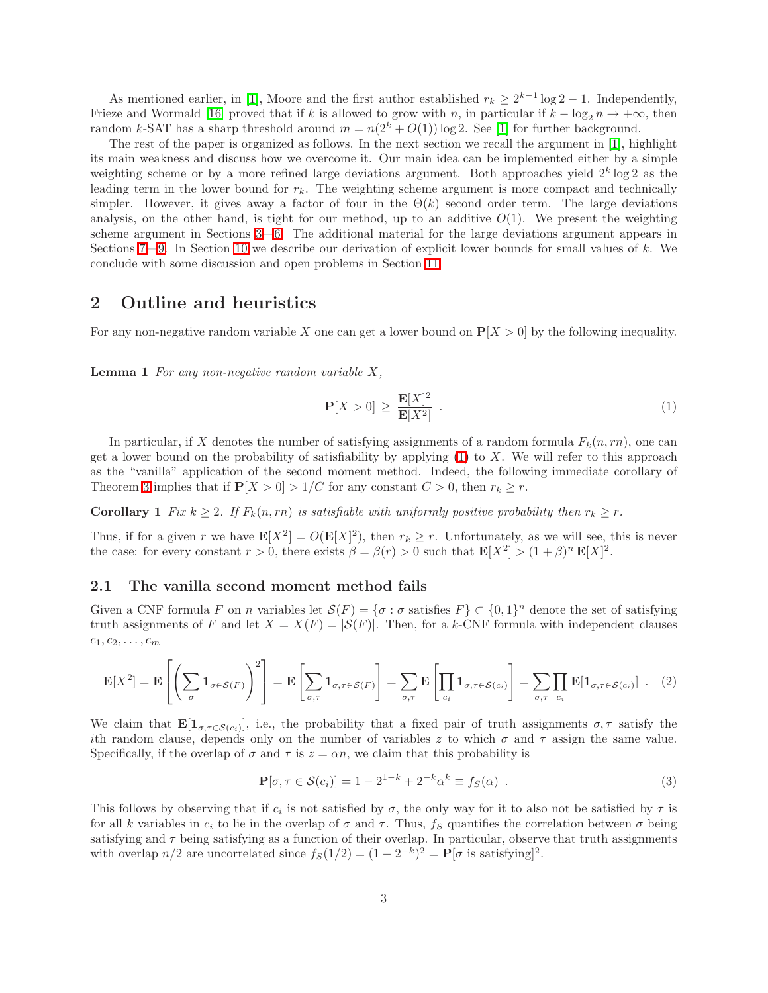As mentioned earlier, in [\[1\]](#page-22-2), Moore and the first author established  $r_k \geq 2^{k-1} \log 2 - 1$ . Independently, Frieze and Wormald [\[16\]](#page-23-8) proved that if k is allowed to grow with n, in particular if  $k - \log_2 n \to +\infty$ , then random k-SAT has a sharp threshold around  $m = n(2<sup>k</sup> + O(1)) \log 2$ . See [\[1\]](#page-22-2) for further background.

The rest of the paper is organized as follows. In the next section we recall the argument in [\[1\]](#page-22-2), highlight its main weakness and discuss how we overcome it. Our main idea can be implemented either by a simple weighting scheme or by a more refined large deviations argument. Both approaches yield  $2^k \log 2$  as the leading term in the lower bound for  $r_k$ . The weighting scheme argument is more compact and technically simpler. However, it gives away a factor of four in the  $\Theta(k)$  second order term. The large deviations analysis, on the other hand, is tight for our method, up to an additive  $O(1)$ . We present the weighting scheme argument in Sections [3—](#page-7-0)[6.](#page-11-0) The additional material for the large deviations argument appears in Sections  $7-9$ . In Section [10](#page-20-0) we describe our derivation of explicit lower bounds for small values of k. We conclude with some discussion and open problems in Section [11.](#page-21-0)

### 2 Outline and heuristics

<span id="page-2-3"></span>For any non-negative random variable X one can get a lower bound on  $P[X > 0]$  by the following inequality.

**Lemma 1** For any non-negative random variable  $X$ ,

<span id="page-2-4"></span><span id="page-2-0"></span>
$$
\mathbf{P}[X > 0] \ge \frac{\mathbf{E}[X]^2}{\mathbf{E}[X^2]} \tag{1}
$$

In particular, if X denotes the number of satisfying assignments of a random formula  $F_k(n, rn)$ , one can get a lower bound on the probability of satisfiability by applying  $(1)$  to X. We will refer to this approach as the "vanilla" application of the second moment method. Indeed, the following immediate corollary of Theorem [3](#page-1-1) implies that if  $P[X > 0] > 1/C$  for any constant  $C > 0$ , then  $r_k \geq r$ .

**Corollary 1** Fix  $k \geq 2$ . If  $F_k(n, rn)$  is satisfiable with uniformly positive probability then  $r_k \geq r$ .

Thus, if for a given r we have  $\mathbf{E}[X^2] = O(\mathbf{E}[X]^2)$ , then  $r_k \geq r$ . Unfortunately, as we will see, this is never the case: for every constant  $r > 0$ , there exists  $\beta = \beta(r) > 0$  such that  $\mathbf{E}[X^2] > (1 + \beta)^n \mathbf{E}[X]^2$ .

#### 2.1 The vanilla second moment method fails

<span id="page-2-1"></span>Given a CNF formula F on n variables let  $\mathcal{S}(F) = \{\sigma : \sigma \text{ satisfies } F\} \subset \{0,1\}^n$  denote the set of satisfying truth assignments of F and let  $X = X(F) = |\mathcal{S}(F)|$ . Then, for a k-CNF formula with independent clauses  $c_1, c_2, \ldots, c_m$ 

$$
\mathbf{E}[X^2] = \mathbf{E}\left[\left(\sum_{\sigma} \mathbf{1}_{\sigma \in \mathcal{S}(F)}\right)^2\right] = \mathbf{E}\left[\sum_{\sigma,\tau} \mathbf{1}_{\sigma,\tau \in \mathcal{S}(F)}\right] = \sum_{\sigma,\tau} \mathbf{E}\left[\prod_{c_i} \mathbf{1}_{\sigma,\tau \in \mathcal{S}(c_i)}\right] = \sum_{\sigma,\tau} \prod_{c_i} \mathbf{E}[\mathbf{1}_{\sigma,\tau \in \mathcal{S}(c_i)}].
$$
 (2)

We claim that  $\mathbf{E}[\mathbf{1}_{\sigma,\tau\in\mathcal{S}(c_i)}],$  i.e., the probability that a fixed pair of truth assignments  $\sigma,\tau$  satisfy the ith random clause, depends only on the number of variables z to which  $\sigma$  and  $\tau$  assign the same value. Specifically, if the overlap of  $\sigma$  and  $\tau$  is  $z = \alpha n$ , we claim that this probability is

<span id="page-2-2"></span>
$$
\mathbf{P}[\sigma, \tau \in \mathcal{S}(c_i)] = 1 - 2^{1-k} + 2^{-k} \alpha^k \equiv f_S(\alpha) \tag{3}
$$

This follows by observing that if  $c_i$  is not satisfied by  $\sigma$ , the only way for it to also not be satisfied by  $\tau$  is for all k variables in  $c_i$  to lie in the overlap of  $\sigma$  and  $\tau$ . Thus,  $f_S$  quantifies the correlation between  $\sigma$  being satisfying and  $\tau$  being satisfying as a function of their overlap. In particular, observe that truth assignments with overlap  $n/2$  are uncorrelated since  $f_S(1/2) = (1 - 2^{-k})^2 = P[\sigma \text{ is satisfying}]^2$ .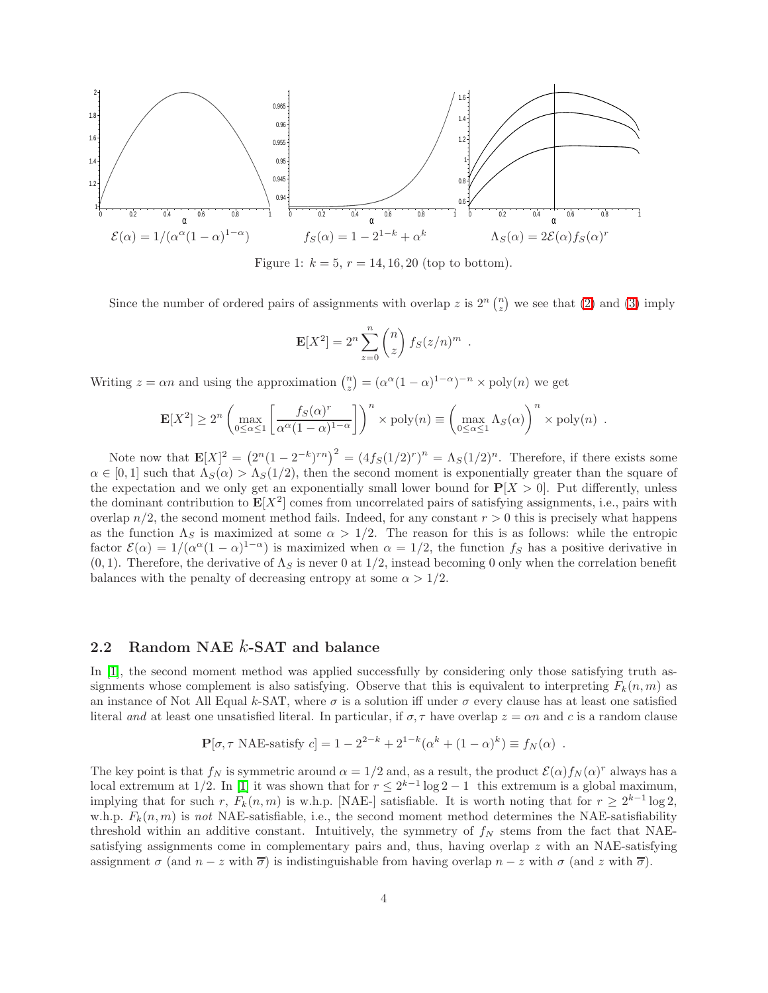

Figure 1:  $k = 5$ ,  $r = 14, 16, 20$  (top to bottom).

Since the number of ordered pairs of assignments with overlap z is  $2^n \binom{n}{z}$  we see that [\(2\)](#page-2-1) and [\(3\)](#page-2-2) imply

$$
\mathbf{E}[X^2] = 2^n \sum_{z=0}^n \binom{n}{z} f_S(z/n)^m .
$$

Writing  $z = \alpha n$  and using the approximation  $\binom{n}{z} = (\alpha^{\alpha}(1-\alpha)^{1-\alpha})^{-n} \times \text{poly}(n)$  we get

$$
\mathbf{E}[X^2] \ge 2^n \left( \max_{0 \le \alpha \le 1} \left[ \frac{f_S(\alpha)^r}{\alpha^{\alpha} (1 - \alpha)^{1 - \alpha}} \right] \right)^n \times \text{poly}(n) \equiv \left( \max_{0 \le \alpha \le 1} \Lambda_S(\alpha) \right)^n \times \text{poly}(n) .
$$

Note now that  $\mathbf{E}[X]^2 = (2^n(1-2^{-k})^{rn})^2 = (4f_S(1/2)^r)^n = \Lambda_S(1/2)^n$ . Therefore, if there exists some  $\alpha \in [0,1]$  such that  $\Lambda_S(\alpha) > \Lambda_S(1/2)$ , then the second moment is exponentially greater than the square of the expectation and we only get an exponentially small lower bound for  $P[X > 0]$ . Put differently, unless the dominant contribution to  $\mathbf{E}[X^2]$  comes from uncorrelated pairs of satisfying assignments, i.e., pairs with overlap  $n/2$ , the second moment method fails. Indeed, for any constant  $r > 0$  this is precisely what happens as the function  $\Lambda_S$  is maximized at some  $\alpha > 1/2$ . The reason for this is as follows: while the entropic factor  $\mathcal{E}(\alpha) = 1/(\alpha^{\alpha}(1-\alpha)^{1-\alpha})$  is maximized when  $\alpha = 1/2$ , the function  $f_s$  has a positive derivative in  $(0, 1)$ . Therefore, the derivative of  $\Lambda_S$  is never 0 at  $1/2$ , instead becoming 0 only when the correlation benefit balances with the penalty of decreasing entropy at some  $\alpha > 1/2$ .

#### 2.2 Random NAE  $k$ -SAT and balance

In [\[1\]](#page-22-2), the second moment method was applied successfully by considering only those satisfying truth assignments whose complement is also satisfying. Observe that this is equivalent to interpreting  $F_k(n, m)$  as an instance of Not All Equal k-SAT, where  $\sigma$  is a solution iff under  $\sigma$  every clause has at least one satisfied literal and at least one unsatisfied literal. In particular, if  $\sigma, \tau$  have overlap  $z = \alpha n$  and c is a random clause

$$
\mathbf{P}[\sigma, \tau \text{ NAE-satisfy } c] = 1 - 2^{2-k} + 2^{1-k} (\alpha^k + (1 - \alpha)^k) \equiv f_N(\alpha) .
$$

The key point is that  $f_N$  is symmetric around  $\alpha = 1/2$  and, as a result, the product  $\mathcal{E}(\alpha) f_N(\alpha)^r$  always has a local extremum at 1/2. In [\[1\]](#page-22-2) it was shown that for  $r \leq 2^{k-1} \log 2 - 1$  this extremum is a global maximum, implying that for such r,  $F_k(n,m)$  is w.h.p. [NAE-] satisfiable. It is worth noting that for  $r \geq 2^{k-1} \log 2$ , w.h.p.  $F_k(n,m)$  is not NAE-satisfiable, i.e., the second moment method determines the NAE-satisfiability threshold within an additive constant. Intuitively, the symmetry of  $f_N$  stems from the fact that NAEsatisfying assignments come in complementary pairs and, thus, having overlap  $z$  with an NAE-satisfying assignment  $\sigma$  (and  $n - z$  with  $\overline{\sigma}$ ) is indistinguishable from having overlap  $n - z$  with  $\sigma$  (and z with  $\overline{\sigma}$ ).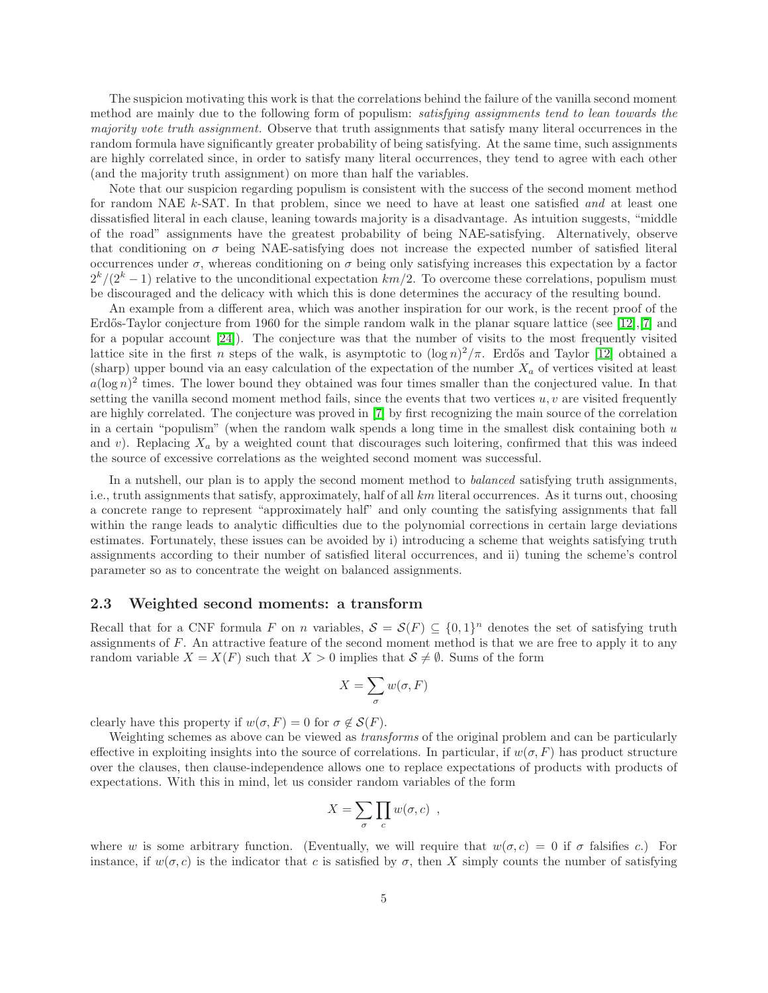The suspicion motivating this work is that the correlations behind the failure of the vanilla second moment method are mainly due to the following form of populism: satisfying assignments tend to lean towards the majority vote truth assignment. Observe that truth assignments that satisfy many literal occurrences in the random formula have significantly greater probability of being satisfying. At the same time, such assignments are highly correlated since, in order to satisfy many literal occurrences, they tend to agree with each other (and the majority truth assignment) on more than half the variables.

Note that our suspicion regarding populism is consistent with the success of the second moment method for random NAE k-SAT. In that problem, since we need to have at least one satisfied and at least one dissatisfied literal in each clause, leaning towards majority is a disadvantage. As intuition suggests, "middle of the road" assignments have the greatest probability of being NAE-satisfying. Alternatively, observe that conditioning on  $\sigma$  being NAE-satisfying does not increase the expected number of satisfied literal occurrences under  $\sigma$ , whereas conditioning on  $\sigma$  being only satisfying increases this expectation by a factor  $2^{k}/(2^{k}-1)$  relative to the unconditional expectation  $km/2$ . To overcome these correlations, populism must be discouraged and the delicacy with which this is done determines the accuracy of the resulting bound.

An example from a different area, which was another inspiration for our work, is the recent proof of the Erdős-Taylor conjecture from 1960 for the simple random walk in the planar square lattice (see [\[12\]](#page-23-9), [\[7\]](#page-22-7) and for a popular account [\[24\]](#page-23-10)). The conjecture was that the number of visits to the most frequently visited lattice site in the first n steps of the walk, is asymptotic to  $(\log n)^2/\pi$ . Erdős and Taylor [\[12\]](#page-23-9) obtained a (sharp) upper bound via an easy calculation of the expectation of the number  $X_a$  of vertices visited at least  $a(\log n)^2$  times. The lower bound they obtained was four times smaller than the conjectured value. In that setting the vanilla second moment method fails, since the events that two vertices  $u, v$  are visited frequently are highly correlated. The conjecture was proved in [\[7\]](#page-22-7) by first recognizing the main source of the correlation in a certain "populism" (when the random walk spends a long time in the smallest disk containing both  $u$ and v). Replacing  $X_a$  by a weighted count that discourages such loitering, confirmed that this was indeed the source of excessive correlations as the weighted second moment was successful.

In a nutshell, our plan is to apply the second moment method to *balanced* satisfying truth assignments, i.e., truth assignments that satisfy, approximately, half of all  $km$  literal occurrences. As it turns out, choosing a concrete range to represent "approximately half" and only counting the satisfying assignments that fall within the range leads to analytic difficulties due to the polynomial corrections in certain large deviations estimates. Fortunately, these issues can be avoided by i) introducing a scheme that weights satisfying truth assignments according to their number of satisfied literal occurrences, and ii) tuning the scheme's control parameter so as to concentrate the weight on balanced assignments.

#### 2.3 Weighted second moments: a transform

Recall that for a CNF formula F on n variables,  $S = S(F) \subseteq \{0,1\}^n$  denotes the set of satisfying truth assignments of F. An attractive feature of the second moment method is that we are free to apply it to any random variable  $X = X(F)$  such that  $X > 0$  implies that  $S \neq \emptyset$ . Sums of the form

$$
X=\sum_{\sigma} w(\sigma, F)
$$

clearly have this property if  $w(\sigma, F) = 0$  for  $\sigma \notin \mathcal{S}(F)$ .

Weighting schemes as above can be viewed as transforms of the original problem and can be particularly effective in exploiting insights into the source of correlations. In particular, if  $w(\sigma, F)$  has product structure over the clauses, then clause-independence allows one to replace expectations of products with products of expectations. With this in mind, let us consider random variables of the form

$$
X = \sum_{\sigma} \prod_c w(\sigma, c) \enspace ,
$$

where w is some arbitrary function. (Eventually, we will require that  $w(\sigma, c) = 0$  if  $\sigma$  falsifies c.) For instance, if  $w(\sigma, c)$  is the indicator that c is satisfied by  $\sigma$ , then X simply counts the number of satisfying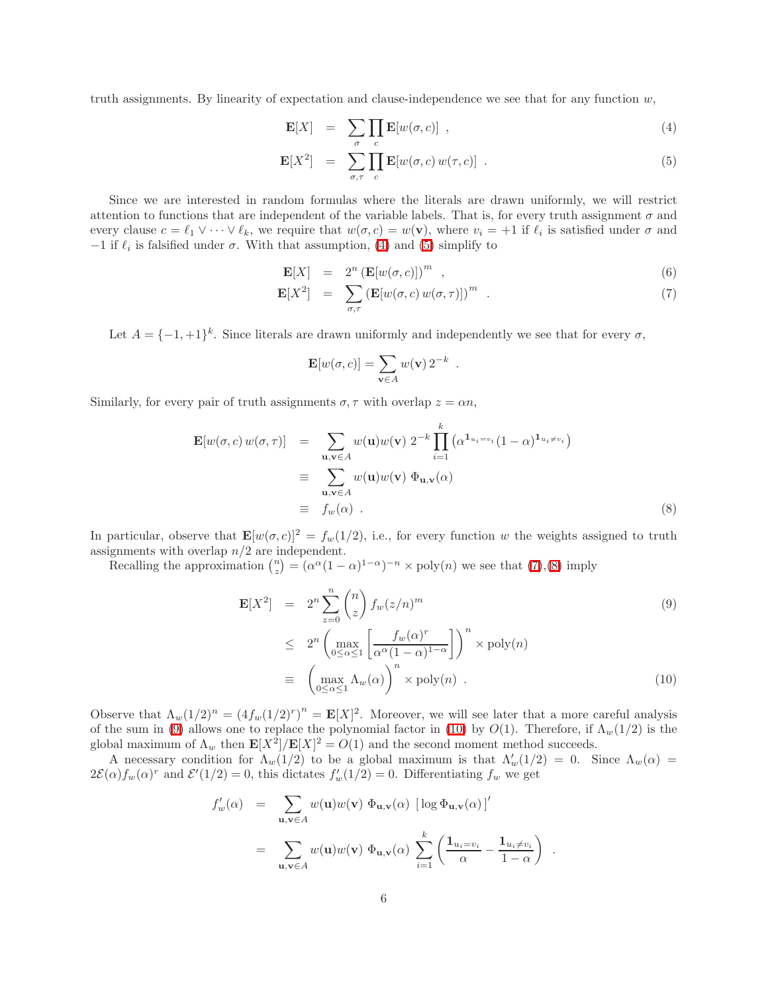truth assignments. By linearity of expectation and clause-independence we see that for any function  $w$ ,

<span id="page-5-0"></span>
$$
\mathbf{E}[X] = \sum_{\sigma} \prod_{c} \mathbf{E}[w(\sigma, c)] \quad , \tag{4}
$$

$$
\mathbf{E}[X^2] = \sum_{\sigma,\tau} \prod_c \mathbf{E}[w(\sigma, c) w(\tau, c)] \quad . \tag{5}
$$

Since we are interested in random formulas where the literals are drawn uniformly, we will restrict attention to functions that are independent of the variable labels. That is, for every truth assignment  $\sigma$  and every clause  $c = \ell_1 \vee \cdots \vee \ell_k$ , we require that  $w(\sigma, c) = w(\mathbf{v})$ , where  $v_i = +1$  if  $\ell_i$  is satisfied under  $\sigma$  and  $-1$  if  $\ell_i$  is falsified under  $\sigma$ . With that assumption, [\(4\)](#page-5-0) and [\(5\)](#page-5-0) simplify to

<span id="page-5-1"></span>
$$
\mathbf{E}[X] = 2^n \left( \mathbf{E}[w(\sigma, c)] \right)^m , \qquad (6)
$$

$$
\mathbf{E}[X^2] = \sum_{\sigma,\tau} (\mathbf{E}[w(\sigma,c) \, w(\sigma,\tau)])^m \quad . \tag{7}
$$

.

Let  $A = \{-1, +1\}^k$ . Since literals are drawn uniformly and independently we see that for every  $\sigma$ ,

$$
\mathbf{E}[w(\sigma, c)] = \sum_{\mathbf{v} \in A} w(\mathbf{v}) \, 2^{-k}
$$

<span id="page-5-2"></span>Similarly, for every pair of truth assignments  $\sigma, \tau$  with overlap  $z = \alpha n$ ,

$$
\mathbf{E}[w(\sigma, c) w(\sigma, \tau)] = \sum_{\mathbf{u}, \mathbf{v} \in A} w(\mathbf{u}) w(\mathbf{v}) 2^{-k} \prod_{i=1}^{k} (\alpha^{1_{u_i = v_i}} (1 - \alpha)^{1_{u_i \neq v_i}})
$$
  
\n
$$
\equiv \sum_{\mathbf{u}, \mathbf{v} \in A} w(\mathbf{u}) w(\mathbf{v}) \Phi_{\mathbf{u}, \mathbf{v}}(\alpha)
$$
  
\n
$$
\equiv f_w(\alpha) .
$$
\n(8)

In particular, observe that  $\mathbf{E}[w(\sigma, c)]^2 = f_w(1/2)$ , i.e., for every function w the weights assigned to truth assignments with overlap  $n/2$  are independent.

<span id="page-5-3"></span>Recalling the approximation  $\binom{n}{z} = (\alpha^{\alpha}(1-\alpha)^{1-\alpha})^{-n} \times \text{poly}(n)$  we see that  $(7),(8)$  $(7),(8)$  imply

$$
\mathbf{E}[X^2] = 2^n \sum_{z=0}^n {n \choose z} f_w(z/n)^m
$$
  
\n
$$
\leq 2^n \left( \max_{0 \leq \alpha \leq 1} \left[ \frac{f_w(\alpha)^r}{\alpha^{\alpha} (1 - \alpha)^{1 - \alpha}} \right] \right)^n \times \text{poly}(n)
$$
  
\n
$$
\equiv \left( \max_{0 \leq \alpha \leq 1} \Lambda_w(\alpha) \right)^n \times \text{poly}(n) .
$$
 (10)

Observe that  $\Lambda_w(1/2)^n = (4f_w(1/2)^r)^n = \mathbf{E}[X]^2$ . Moreover, we will see later that a more careful analysis of the sum in [\(9\)](#page-5-3) allows one to replace the polynomial factor in [\(10\)](#page-5-3) by  $O(1)$ . Therefore, if  $\Lambda_w(1/2)$  is the global maximum of  $\Lambda_w$  then  $\mathbf{E}[X^2]/\mathbf{E}[X]^2 = O(1)$  and the second moment method succeeds.

A necessary condition for  $\Lambda_w(1/2)$  to be a global maximum is that  $\Lambda'_w(1/2) = 0$ . Since  $\Lambda_w(\alpha) =$  $2\mathcal{E}(\alpha)f_w(\alpha)^r$  and  $\mathcal{E}'(1/2) = 0$ , this dictates  $f'_w(1/2) = 0$ . Differentiating  $f_w$  we get

$$
f'_{w}(\alpha) = \sum_{\mathbf{u}, \mathbf{v} \in A} w(\mathbf{u}) w(\mathbf{v}) \Phi_{\mathbf{u}, \mathbf{v}}(\alpha) \left[ \log \Phi_{\mathbf{u}, \mathbf{v}}(\alpha) \right]'
$$
  

$$
= \sum_{\mathbf{u}, \mathbf{v} \in A} w(\mathbf{u}) w(\mathbf{v}) \Phi_{\mathbf{u}, \mathbf{v}}(\alpha) \sum_{i=1}^{k} \left( \frac{\mathbf{1}_{u_i = v_i}}{\alpha} - \frac{\mathbf{1}_{u_i \neq v_i}}{1 - \alpha} \right) .
$$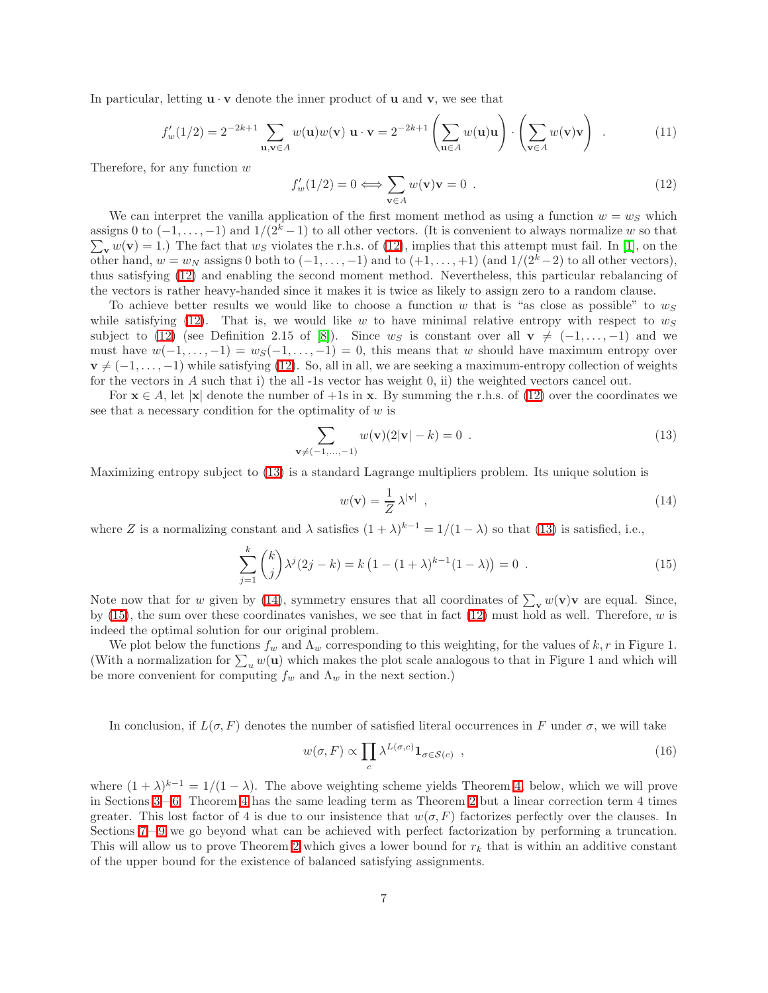In particular, letting  $\mathbf{u} \cdot \mathbf{v}$  denote the inner product of **u** and **v**, we see that

<span id="page-6-0"></span>
$$
f'_{w}(1/2) = 2^{-2k+1} \sum_{\mathbf{u}, \mathbf{v} \in A} w(\mathbf{u}) w(\mathbf{v}) \mathbf{u} \cdot \mathbf{v} = 2^{-2k+1} \left( \sum_{\mathbf{u} \in A} w(\mathbf{u}) \mathbf{u} \right) \cdot \left( \sum_{\mathbf{v} \in A} w(\mathbf{v}) \mathbf{v} \right) . \tag{11}
$$

Therefore, for any function  $w$ 

$$
f'_{w}(1/2) = 0 \Longleftrightarrow \sum_{\mathbf{v} \in A} w(\mathbf{v})\mathbf{v} = 0 . \tag{12}
$$

We can interpret the vanilla application of the first moment method as using a function  $w = w_S$  which assigns 0 to  $(-1,\ldots,-1)$  and  $1/(2^k-1)$  to all other vectors. (It is convenient to always normalize w so that  $\sum_{\mathbf{v}} w(\mathbf{v}) = 1$ .) The fact that  $w_S$  violates the r.h.s. of [\(12\)](#page-6-0), implies that this attempt must fail. In [\[1\]](#page-22-2), on the other hand,  $w = w_N$  assigns 0 both to  $(-1, \ldots, -1)$  and to  $(+1, \ldots, +1)$  (and  $1/(2<sup>k</sup> - 2)$  to all other vectors), thus satisfying [\(12\)](#page-6-0) and enabling the second moment method. Nevertheless, this particular rebalancing of the vectors is rather heavy-handed since it makes it is twice as likely to assign zero to a random clause.

To achieve better results we would like to choose a function w that is "as close as possible" to  $w<sub>S</sub>$ while satisfying [\(12\)](#page-6-0). That is, we would like w to have minimal relative entropy with respect to  $w<sub>S</sub>$ subject to [\(12\)](#page-6-0) (see Definition 2.15 of [\[8\]](#page-22-8)). Since  $w_S$  is constant over all  $\mathbf{v} \neq (-1, \ldots, -1)$  and we must have  $w(-1,\ldots,-1) = w_S(-1,\ldots,-1) = 0$ , this means that w should have maximum entropy over  $\mathbf{v} \neq (-1, \ldots, -1)$  while satisfying [\(12\)](#page-6-0). So, all in all, we are seeking a maximum-entropy collection of weights for the vectors in A such that i) the all -1s vector has weight 0, ii) the weighted vectors cancel out.

For  $x \in A$ , let  $|x|$  denote the number of  $+1s$  in x. By summing the r.h.s. of [\(12\)](#page-6-0) over the coordinates we see that a necessary condition for the optimality of  $w$  is

<span id="page-6-1"></span>
$$
\sum_{\mathbf{v}\neq(-1,\dots,-1)} w(\mathbf{v})(2|\mathbf{v}| - k) = 0 . \tag{13}
$$

Maximizing entropy subject to [\(13\)](#page-6-1) is a standard Lagrange multipliers problem. Its unique solution is

<span id="page-6-3"></span><span id="page-6-2"></span>
$$
w(\mathbf{v}) = \frac{1}{Z} \lambda^{|\mathbf{v}|} \quad , \tag{14}
$$

where Z is a normalizing constant and  $\lambda$  satisfies  $(1 + \lambda)^{k-1} = 1/(1 - \lambda)$  so that [\(13\)](#page-6-1) is satisfied, i.e.,

$$
\sum_{j=1}^{k} {k \choose j} \lambda^{j} (2j-k) = k \left( 1 - (1+\lambda)^{k-1} (1-\lambda) \right) = 0.
$$
 (15)

Note now that for w given by [\(14\)](#page-6-2), symmetry ensures that all coordinates of  $\sum_{\mathbf{v}} w(\mathbf{v})\mathbf{v}$  are equal. Since, by  $(15)$ , the sum over these coordinates vanishes, we see that in fact  $(12)$  must hold as well. Therefore, w is indeed the optimal solution for our original problem.

We plot below the functions  $f_w$  and  $\Lambda_w$  corresponding to this weighting, for the values of k, r in Figure 1. (With a normalization for  $\sum_{u} w(\mathbf{u})$  which makes the plot scale analogous to that in Figure 1 and which will be more convenient for computing  $f_w$  and  $\Lambda_w$  in the next section.)

In conclusion, if  $L(\sigma, F)$  denotes the number of satisfied literal occurrences in F under  $\sigma$ , we will take

<span id="page-6-5"></span>
$$
w(\sigma, F) \propto \prod_{c} \lambda^{L(\sigma, c)} \mathbf{1}_{\sigma \in \mathcal{S}(c)}, \qquad (16)
$$

<span id="page-6-4"></span>where  $(1 + \lambda)^{k-1} = 1/(1 - \lambda)$ . The above weighting scheme yields Theorem [4,](#page-6-4) below, which we will prove in Sections [3—](#page-7-0)[6.](#page-11-0) Theorem [4](#page-6-4) has the same leading term as Theorem [2](#page-0-1) but a linear correction term 4 times greater. This lost factor of 4 is due to our insistence that  $w(\sigma, F)$  factorizes perfectly over the clauses. In Sections [7—](#page-13-0)[9](#page-16-0) we go beyond what can be achieved with perfect factorization by performing a truncation. This will allow us to prove Theorem [2](#page-0-1) which gives a lower bound for  $r_k$  that is within an additive constant of the upper bound for the existence of balanced satisfying assignments.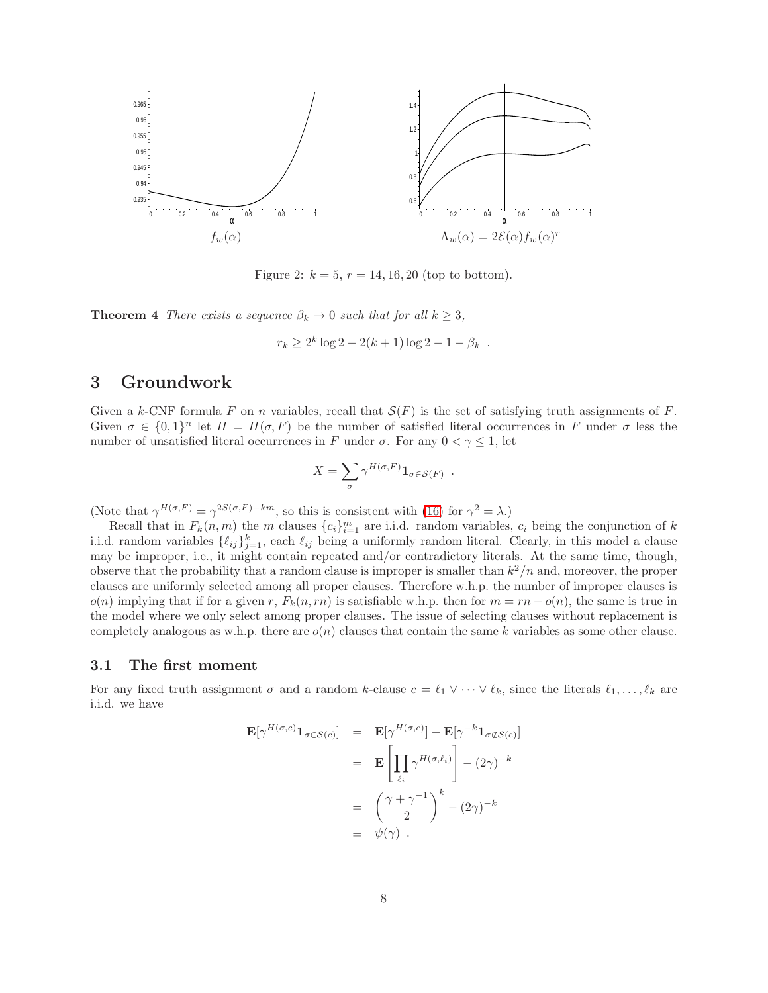

Figure 2:  $k = 5$ ,  $r = 14, 16, 20$  (top to bottom).

**Theorem 4** There exists a sequence  $\beta_k \to 0$  such that for all  $k \geq 3$ ,

$$
r_k \ge 2^k \log 2 - 2(k+1) \log 2 - 1 - \beta_k.
$$

## <span id="page-7-0"></span>3 Groundwork

Given a k-CNF formula F on n variables, recall that  $S(F)$  is the set of satisfying truth assignments of F. Given  $\sigma \in \{0,1\}^n$  let  $H = H(\sigma, F)$  be the number of satisfied literal occurrences in F under  $\sigma$  less the number of unsatisfied literal occurrences in F under  $\sigma$ . For any  $0 < \gamma \leq 1$ , let

$$
X = \sum_{\sigma} \gamma^{H(\sigma, F)} \mathbf{1}_{\sigma \in \mathcal{S}(F)}.
$$

(Note that  $\gamma^{H(\sigma,F)} = \gamma^{2S(\sigma,F)-km}$ , so this is consistent with [\(16\)](#page-6-5) for  $\gamma^2 = \lambda$ .)

Recall that in  $F_k(n,m)$  the m clauses  $\{c_i\}_{i=1}^m$  are i.i.d. random variables,  $c_i$  being the conjunction of k i.i.d. random variables  $\{\ell_{ij}\}_{j=1}^k$ , each  $\ell_{ij}$  being a uniformly random literal. Clearly, in this model a clause may be improper, i.e., it might contain repeated and/or contradictory literals. At the same time, though, observe that the probability that a random clause is improper is smaller than  $k^2/n$  and, moreover, the proper clauses are uniformly selected among all proper clauses. Therefore w.h.p. the number of improper clauses is  $o(n)$  implying that if for a given r,  $F_k(n, rn)$  is satisfiable w.h.p. then for  $m = rn - o(n)$ , the same is true in the model where we only select among proper clauses. The issue of selecting clauses without replacement is completely analogous as w.h.p. there are  $o(n)$  clauses that contain the same k variables as some other clause.

#### 3.1 The first moment

For any fixed truth assignment  $\sigma$  and a random k-clause  $c = \ell_1 \vee \cdots \vee \ell_k$ , since the literals  $\ell_1, \ldots, \ell_k$  are i.i.d. we have

$$
\mathbf{E}[\gamma^{H(\sigma,c)}\mathbf{1}_{\sigma\in\mathcal{S}(c)}] = \mathbf{E}[\gamma^{H(\sigma,c)}] - \mathbf{E}[\gamma^{-k}\mathbf{1}_{\sigma\not\in\mathcal{S}(c)}]
$$

$$
= \mathbf{E}\left[\prod_{\ell_i} \gamma^{H(\sigma,\ell_i)}\right] - (2\gamma)^{-k}
$$

$$
= \left(\frac{\gamma + \gamma^{-1}}{2}\right)^k - (2\gamma)^{-k}
$$

$$
\equiv \psi(\gamma).
$$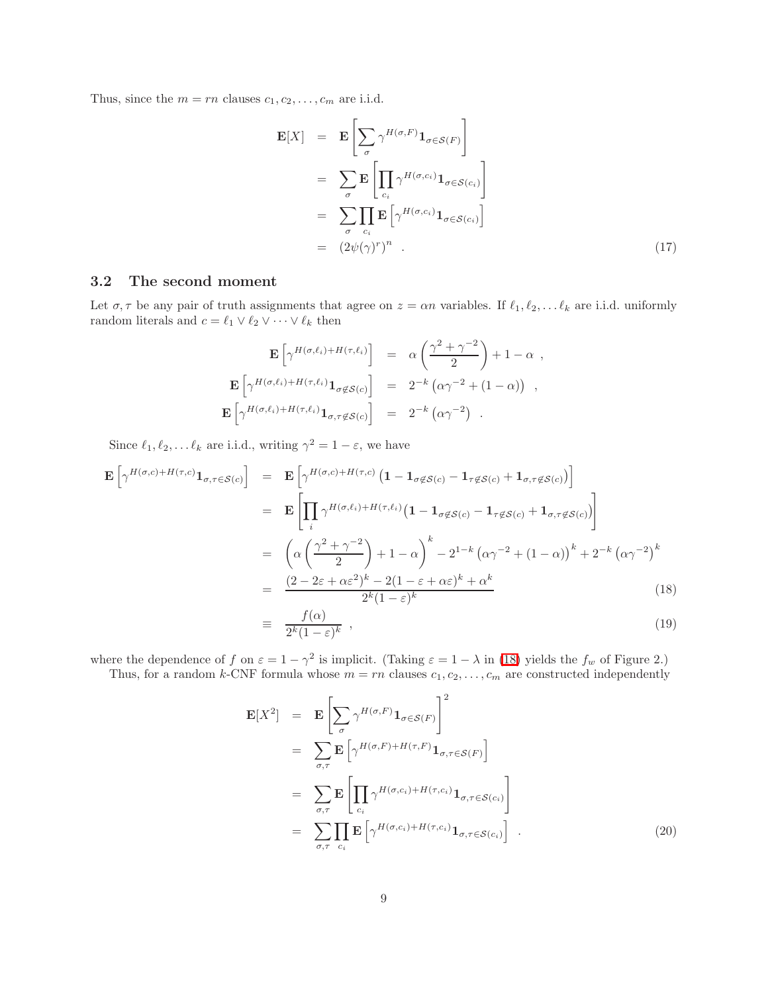Thus, since the  $m = rn$  clauses  $c_1, c_2, \ldots, c_m$  are i.i.d.

<span id="page-8-2"></span>
$$
\mathbf{E}[X] = \mathbf{E} \left[ \sum_{\sigma} \gamma^{H(\sigma, F)} \mathbf{1}_{\sigma \in \mathcal{S}(F)} \right]
$$
  
\n
$$
= \sum_{\sigma} \mathbf{E} \left[ \prod_{c_i} \gamma^{H(\sigma, c_i)} \mathbf{1}_{\sigma \in \mathcal{S}(c_i)} \right]
$$
  
\n
$$
= \sum_{\sigma} \prod_{c_i} \mathbf{E} \left[ \gamma^{H(\sigma, c_i)} \mathbf{1}_{\sigma \in \mathcal{S}(c_i)} \right]
$$
  
\n
$$
= (2\psi(\gamma)^r)^n . \tag{17}
$$

#### 3.2 The second moment

Let  $\sigma, \tau$  be any pair of truth assignments that agree on  $z = \alpha n$  variables. If  $\ell_1, \ell_2, \ldots \ell_k$  are i.i.d. uniformly random literals and  $c = \ell_1 \vee \ell_2 \vee \cdots \vee \ell_k$  then

$$
\mathbf{E}\left[\gamma^{H(\sigma,\ell_i)+H(\tau,\ell_i)}\right] = \alpha\left(\frac{\gamma^2+\gamma^{-2}}{2}\right)+1-\alpha ,
$$
  

$$
\mathbf{E}\left[\gamma^{H(\sigma,\ell_i)+H(\tau,\ell_i)}\mathbf{1}_{\sigma\notin\mathcal{S}(c)}\right] = 2^{-k}(\alpha\gamma^{-2}+(1-\alpha)) ,
$$
  

$$
\mathbf{E}\left[\gamma^{H(\sigma,\ell_i)+H(\tau,\ell_i)}\mathbf{1}_{\sigma,\tau\notin\mathcal{S}(c)}\right] = 2^{-k}(\alpha\gamma^{-2}) .
$$

Since  $\ell_1, \ell_2, \ldots \ell_k$  are i.i.d., writing  $\gamma^2 = 1 - \varepsilon$ , we have

<span id="page-8-0"></span>
$$
\mathbf{E}\left[\gamma^{H(\sigma,c)+H(\tau,c)}\mathbf{1}_{\sigma,\tau\in\mathcal{S}(c)}\right] = \mathbf{E}\left[\gamma^{H(\sigma,c)+H(\tau,c)}\left(\mathbf{1}-\mathbf{1}_{\sigma\notin\mathcal{S}(c)}-\mathbf{1}_{\tau\notin\mathcal{S}(c)}+\mathbf{1}_{\sigma,\tau\notin\mathcal{S}(c)}\right)\right]
$$
\n
$$
= \mathbf{E}\left[\prod_{i}\gamma^{H(\sigma,\ell_{i})+H(\tau,\ell_{i})}\left(\mathbf{1}-\mathbf{1}_{\sigma\notin\mathcal{S}(c)}-\mathbf{1}_{\tau\notin\mathcal{S}(c)}+\mathbf{1}_{\sigma,\tau\notin\mathcal{S}(c)}\right)\right]
$$
\n
$$
= \left(\alpha\left(\frac{\gamma^{2}+\gamma^{-2}}{2}\right)+1-\alpha\right)^{k}-2^{1-k}\left(\alpha\gamma^{-2}+(1-\alpha)\right)^{k}+2^{-k}\left(\alpha\gamma^{-2}\right)^{k}
$$
\n
$$
= \frac{(2-2\varepsilon+\alpha\varepsilon^{2})^{k}-2(1-\varepsilon+\alpha\varepsilon)^{k}+\alpha^{k}}{2^{k}(1-\varepsilon)^{k}}
$$
\n
$$
= \frac{f(\alpha)}{2^{k}(1-\varepsilon)^{k}}, \qquad (19)
$$

where the dependence of f on  $\varepsilon = 1 - \gamma^2$  is implicit. (Taking  $\varepsilon = 1 - \lambda$  in [\(18\)](#page-8-0) yields the  $f_w$  of Figure 2.)

<span id="page-8-1"></span>Thus, for a random k-CNF formula whose  $m = rn$  clauses  $c_1, c_2, \ldots, c_m$  are constructed independently

$$
\mathbf{E}[X^{2}] = \mathbf{E} \left[ \sum_{\sigma} \gamma^{H(\sigma, F)} \mathbf{1}_{\sigma \in \mathcal{S}(F)} \right]^{2}
$$
\n
$$
= \sum_{\sigma, \tau} \mathbf{E} \left[ \gamma^{H(\sigma, F) + H(\tau, F)} \mathbf{1}_{\sigma, \tau \in \mathcal{S}(F)} \right]
$$
\n
$$
= \sum_{\sigma, \tau} \mathbf{E} \left[ \prod_{c_{i}} \gamma^{H(\sigma, c_{i}) + H(\tau, c_{i})} \mathbf{1}_{\sigma, \tau \in \mathcal{S}(c_{i})} \right]
$$
\n
$$
= \sum_{\sigma, \tau} \prod_{c_{i}} \mathbf{E} \left[ \gamma^{H(\sigma, c_{i}) + H(\tau, c_{i})} \mathbf{1}_{\sigma, \tau \in \mathcal{S}(c_{i})} \right]. \tag{20}
$$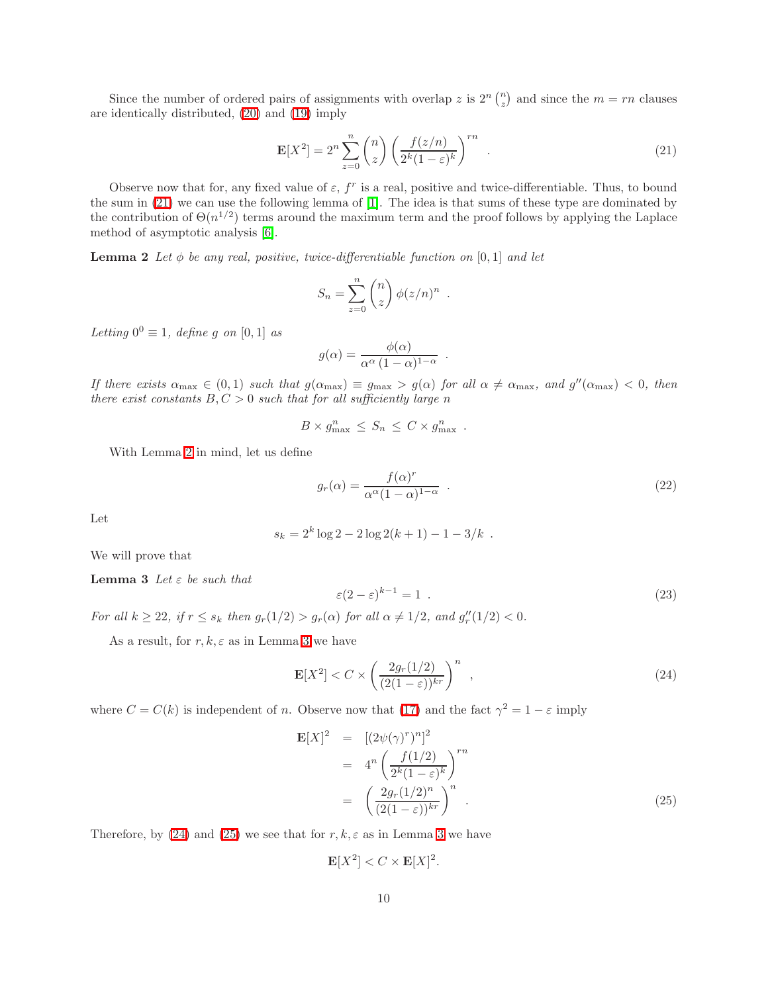Since the number of ordered pairs of assignments with overlap z is  $2^n {n \choose z}$  and since the  $m = rn$  clauses are identically distributed, [\(20\)](#page-8-1) and [\(19\)](#page-8-0) imply

<span id="page-9-0"></span>
$$
\mathbf{E}[X^2] = 2^n \sum_{z=0}^n \binom{n}{z} \left(\frac{f(z/n)}{2^k (1-\varepsilon)^k}\right)^{rn} . \tag{21}
$$

<span id="page-9-1"></span>Observe now that for, any fixed value of  $\varepsilon$ ,  $f^r$  is a real, positive and twice-differentiable. Thus, to bound the sum in [\(21\)](#page-9-0) we can use the following lemma of [\[1\]](#page-22-2). The idea is that sums of these type are dominated by the contribution of  $\Theta(n^{1/2})$  terms around the maximum term and the proof follows by applying the Laplace method of asymptotic analysis [\[6\]](#page-22-9).

**Lemma 2** Let  $\phi$  be any real, positive, twice-differentiable function on [0, 1] and let

$$
S_n = \sum_{z=0}^n \binom{n}{z} \phi(z/n)^n .
$$

Letting  $0^0 \equiv 1$ , define g on [0, 1] as

$$
g(\alpha) = \frac{\phi(\alpha)}{\alpha^{\alpha} (1 - \alpha)^{1 - \alpha}}.
$$

If there exists  $\alpha_{\text{max}} \in (0,1)$  such that  $g(\alpha_{\text{max}}) \equiv g_{\text{max}} > g(\alpha)$  for all  $\alpha \neq \alpha_{\text{max}}$ , and  $g''(\alpha_{\text{max}}) < 0$ , then there exist constants  $B, C > 0$  such that for all sufficiently large n

<span id="page-9-6"></span>
$$
B \times g_{\max}^n \leq S_n \leq C \times g_{\max}^n.
$$

With Lemma [2](#page-9-1) in mind, let us define

$$
g_r(\alpha) = \frac{f(\alpha)^r}{\alpha^{\alpha}(1-\alpha)^{1-\alpha}} \tag{22}
$$

Let

$$
s_k = 2^k \log 2 - 2 \log 2(k+1) - 1 - 3/k .
$$

<span id="page-9-5"></span><span id="page-9-2"></span>We will prove that

Lemma 3 Let  $\varepsilon$  be such that

$$
\varepsilon (2 - \varepsilon)^{k - 1} = 1 \tag{23}
$$

For all  $k \ge 22$ , if  $r \le s_k$  then  $g_r(1/2) > g_r(\alpha)$  for all  $\alpha \ne 1/2$ , and  $g_r''(1/2) < 0$ .

As a result, for  $r, k, \varepsilon$  as in Lemma [3](#page-9-2) we have

<span id="page-9-3"></span>
$$
\mathbf{E}[X^2] < C \times \left(\frac{2g_r(1/2)}{(2(1-\varepsilon))^{kr}}\right)^n \tag{24}
$$

where  $C = C(k)$  is independent of n. Observe now that [\(17\)](#page-8-2) and the fact  $\gamma^2 = 1 - \varepsilon$  imply

<span id="page-9-4"></span>
$$
\mathbf{E}[X]^{2} = [(2\psi(\gamma)^{r})^{n}]^{2}
$$
  
= 
$$
4^{n} \left(\frac{f(1/2)}{2^{k}(1-\varepsilon)^{k}}\right)^{rn}
$$
  
= 
$$
\left(\frac{2g_{r}(1/2)^{n}}{(2(1-\varepsilon))^{kr}}\right)^{n}.
$$
 (25)

Therefore, by [\(24\)](#page-9-3) and [\(25\)](#page-9-4) we see that for  $r, k, \varepsilon$  as in Lemma [3](#page-9-2) we have

$$
\mathbf{E}[X^2] < C \times \mathbf{E}[X]^2.
$$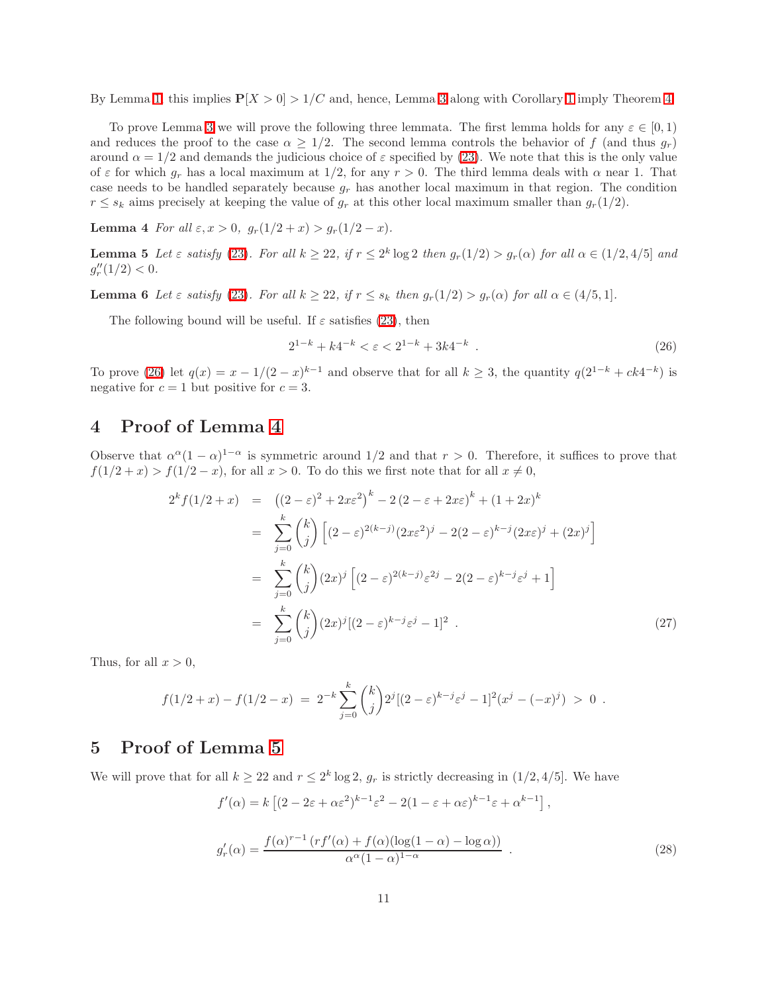By Lemma [1,](#page-2-3) this implies  $P[X > 0] > 1/C$  $P[X > 0] > 1/C$  $P[X > 0] > 1/C$  and, hence, Lemma [3](#page-9-2) along with Corollary 1 imply Theorem [4.](#page-6-4)

To prove Lemma [3](#page-9-2) we will prove the following three lemmata. The first lemma holds for any  $\varepsilon \in [0,1)$ and reduces the proof to the case  $\alpha \geq 1/2$ . The second lemma controls the behavior of f (and thus  $g_r$ ) around  $\alpha = 1/2$  and demands the judicious choice of  $\varepsilon$  specified by [\(23\)](#page-9-5). We note that this is the only value of  $\varepsilon$  for which  $g_r$  has a local maximum at 1/2, for any  $r > 0$ . The third lemma deals with  $\alpha$  near 1. That case needs to be handled separately because  $g_r$  has another local maximum in that region. The condition  $r \leq s_k$  aims precisely at keeping the value of  $g_r$  at this other local maximum smaller than  $g_r(1/2)$ .

<span id="page-10-2"></span><span id="page-10-1"></span>Lemma 4 For all  $\varepsilon, x > 0$ ,  $g_r(1/2 + x) > g_r(1/2 - x)$ .

**Lemma 5** Let  $\varepsilon$  satisfy [\(23\)](#page-9-5). For all  $k \geq 22$ , if  $r \leq 2^k \log 2$  then  $g_r(1/2) > g_r(\alpha)$  for all  $\alpha \in (1/2, 4/5]$  and  $g_r''(1/2) < 0.$ 

**Lemma 6** Let  $\varepsilon$  satisfy [\(23\)](#page-9-5). For all  $k \geq 22$ , if  $r \leq s_k$  then  $g_r(1/2) > g_r(\alpha)$  for all  $\alpha \in (4/5, 1]$ .

The following bound will be useful. If  $\varepsilon$  satisfies [\(23\)](#page-9-5), then

<span id="page-10-0"></span>
$$
2^{1-k} + k4^{-k} < \varepsilon < 2^{1-k} + 3k4^{-k} \tag{26}
$$

To prove [\(26\)](#page-10-0) let  $q(x) = x - 1/(2-x)^{k-1}$  and observe that for all  $k \geq 3$ , the quantity  $q(2^{1-k} + ck4^{-k})$  is negative for  $c = 1$  but positive for  $c = 3$ .

## 4 Proof of Lemma [4](#page-10-1)

<span id="page-10-3"></span>Observe that  $\alpha^{\alpha}(1-\alpha)^{1-\alpha}$  is symmetric around 1/2 and that  $r > 0$ . Therefore, it suffices to prove that  $f(1/2 + x) > f(1/2 - x)$ , for all  $x > 0$ . To do this we first note that for all  $x \neq 0$ ,

$$
2^{k} f(1/2 + x) = ((2 - \varepsilon)^{2} + 2x\varepsilon^{2})^{k} - 2(2 - \varepsilon + 2x\varepsilon)^{k} + (1 + 2x)^{k}
$$
  
\n
$$
= \sum_{j=0}^{k} {k \choose j} [(2 - \varepsilon)^{2(k-j)} (2x\varepsilon^{2})^{j} - 2(2 - \varepsilon)^{k-j} (2x\varepsilon)^{j} + (2x)^{j}]
$$
  
\n
$$
= \sum_{j=0}^{k} {k \choose j} (2x)^{j} [(2 - \varepsilon)^{2(k-j)} \varepsilon^{2j} - 2(2 - \varepsilon)^{k-j} \varepsilon^{j} + 1]
$$
  
\n
$$
= \sum_{j=0}^{k} {k \choose j} (2x)^{j} [(2 - \varepsilon)^{k-j} \varepsilon^{j} - 1]^{2} .
$$
\n(27)

Thus, for all  $x > 0$ ,

$$
f(1/2+x) - f(1/2-x) = 2^{-k} \sum_{j=0}^{k} {k \choose j} 2^{j} [(2-\varepsilon)^{k-j} \varepsilon^{j} - 1]^{2} (x^{j} - (-x)^{j}) > 0.
$$

## 5 Proof of Lemma [5](#page-10-2)

We will prove that for all  $k \geq 22$  and  $r \leq 2^k \log 2$ ,  $g_r$  is strictly decreasing in  $(1/2, 4/5]$ . We have

$$
f'(\alpha) = k \left[ (2 - 2\varepsilon + \alpha \varepsilon^2)^{k-1} \varepsilon^2 - 2(1 - \varepsilon + \alpha \varepsilon)^{k-1} \varepsilon + \alpha^{k-1} \right],
$$
  

$$
g'_r(\alpha) = \frac{f(\alpha)^{r-1} \left( rf'(\alpha) + f(\alpha)(\log(1 - \alpha) - \log \alpha) \right)}{\alpha^{\alpha} (1 - \alpha)^{1 - \alpha}}.
$$
 (28)

<span id="page-10-4"></span> $k-1$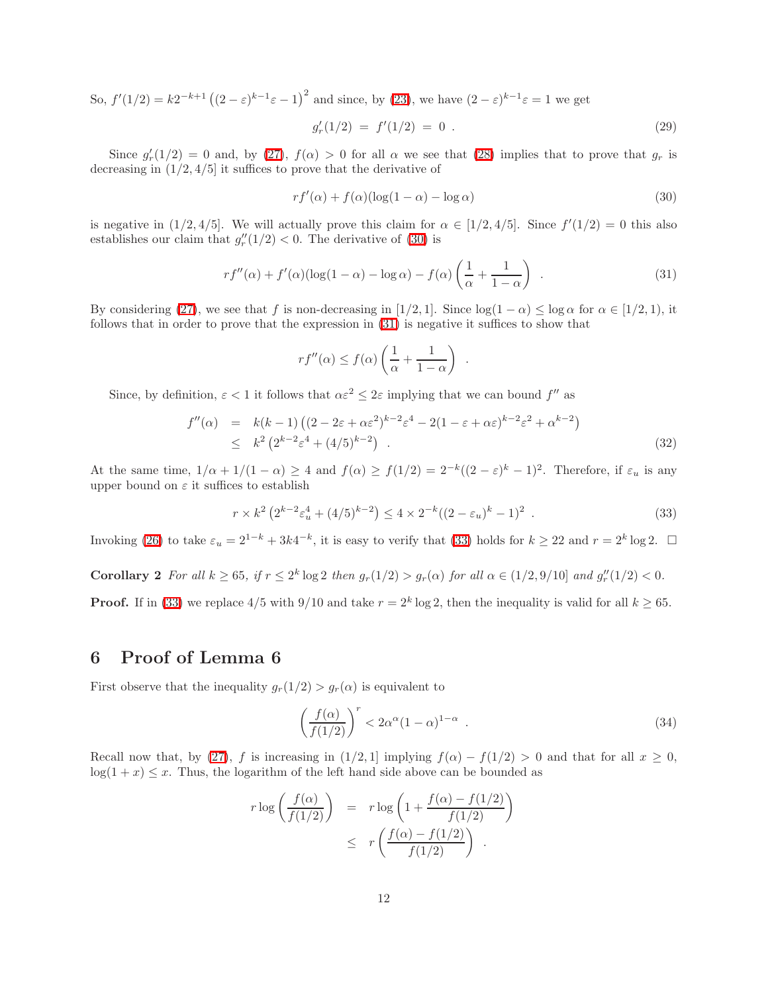So,  $f'(1/2) = k2^{-k+1} ((2 - \varepsilon)^{k-1} \varepsilon - 1)^2$  and since, by [\(23\)](#page-9-5), we have  $(2 - \varepsilon)^{k-1} \varepsilon = 1$  we get

<span id="page-11-1"></span>
$$
g'_r(1/2) = f'(1/2) = 0.
$$
 (29)

Since  $g'_r(1/2) = 0$  and, by [\(27\)](#page-10-3),  $f(\alpha) > 0$  for all  $\alpha$  we see that [\(28\)](#page-10-4) implies that to prove that  $g_r$  is decreasing in  $(1/2, 4/5]$  it suffices to prove that the derivative of

<span id="page-11-2"></span>
$$
rf'(\alpha) + f(\alpha)(\log(1-\alpha) - \log \alpha) \tag{30}
$$

is negative in  $(1/2, 4/5]$ . We will actually prove this claim for  $\alpha \in [1/2, 4/5]$ . Since  $f'(1/2) = 0$  this also establishes our claim that  $g''_r(1/2) < 0$ . The derivative of [\(30\)](#page-11-1) is

$$
rf''(\alpha) + f'(\alpha)(\log(1-\alpha) - \log \alpha) - f(\alpha)\left(\frac{1}{\alpha} + \frac{1}{1-\alpha}\right) \tag{31}
$$

By considering [\(27\)](#page-10-3), we see that f is non-decreasing in [1/2, 1]. Since  $\log(1 - \alpha) \leq \log \alpha$  for  $\alpha \in [1/2, 1)$ , it follows that in order to prove that the expression in [\(31\)](#page-11-2) is negative it suffices to show that

$$
rf''(\alpha) \le f(\alpha) \left( \frac{1}{\alpha} + \frac{1}{1 - \alpha} \right) .
$$

Since, by definition,  $\varepsilon < 1$  it follows that  $\alpha \varepsilon^2 \leq 2\varepsilon$  implying that we can bound  $f''$  as

$$
f''(\alpha) = k(k-1) \left( (2 - 2\varepsilon + \alpha \varepsilon^2)^{k-2} \varepsilon^4 - 2(1 - \varepsilon + \alpha \varepsilon)^{k-2} \varepsilon^2 + \alpha^{k-2} \right) \le k^2 \left( 2^{k-2} \varepsilon^4 + (4/5)^{k-2} \right) . \tag{32}
$$

At the same time,  $1/\alpha + 1/(1 - \alpha) \ge 4$  and  $f(\alpha) \ge f(1/2) = 2^{-k}((2 - \varepsilon)^k - 1)^2$ . Therefore, if  $\varepsilon_u$  is any upper bound on  $\varepsilon$  it suffices to establish

<span id="page-11-3"></span>
$$
r \times k^2 \left( 2^{k-2} \varepsilon_u^4 + (4/5)^{k-2} \right) \le 4 \times 2^{-k} ((2 - \varepsilon_u)^k - 1)^2 \tag{33}
$$

<span id="page-11-5"></span>Invoking [\(26\)](#page-10-0) to take  $\varepsilon_u = 2^{1-k} + 3k4^{-k}$ , it is easy to verify that [\(33\)](#page-11-3) holds for  $k \ge 22$  and  $r = 2^k \log 2$ .  $\Box$ 

Corollary 2 For all  $k \geq 65$ , if  $r \leq 2^k \log 2$  then  $g_r(1/2) > g_r(\alpha)$  for all  $\alpha \in (1/2, 9/10]$  and  $g''_r(1/2) < 0$ .

**Proof.** If in [\(33\)](#page-11-3) we replace  $4/5$  with  $9/10$  and take  $r = 2<sup>k</sup> \log 2$ , then the inequality is valid for all  $k \ge 65$ .

## <span id="page-11-0"></span>6 Proof of Lemma 6

First observe that the inequality  $g_r(1/2) > g_r(\alpha)$  is equivalent to

<span id="page-11-4"></span>
$$
\left(\frac{f(\alpha)}{f(1/2)}\right)^r < 2\alpha^{\alpha}(1-\alpha)^{1-\alpha} \tag{34}
$$

Recall now that, by [\(27\)](#page-10-3), f is increasing in  $(1/2, 1]$  implying  $f(\alpha) - f(1/2) > 0$  and that for all  $x \ge 0$ ,  $log(1 + x) \leq x$ . Thus, the logarithm of the left hand side above can be bounded as

$$
r \log \left( \frac{f(\alpha)}{f(1/2)} \right) = r \log \left( 1 + \frac{f(\alpha) - f(1/2)}{f(1/2)} \right)
$$
  

$$
\leq r \left( \frac{f(\alpha) - f(1/2)}{f(1/2)} \right).
$$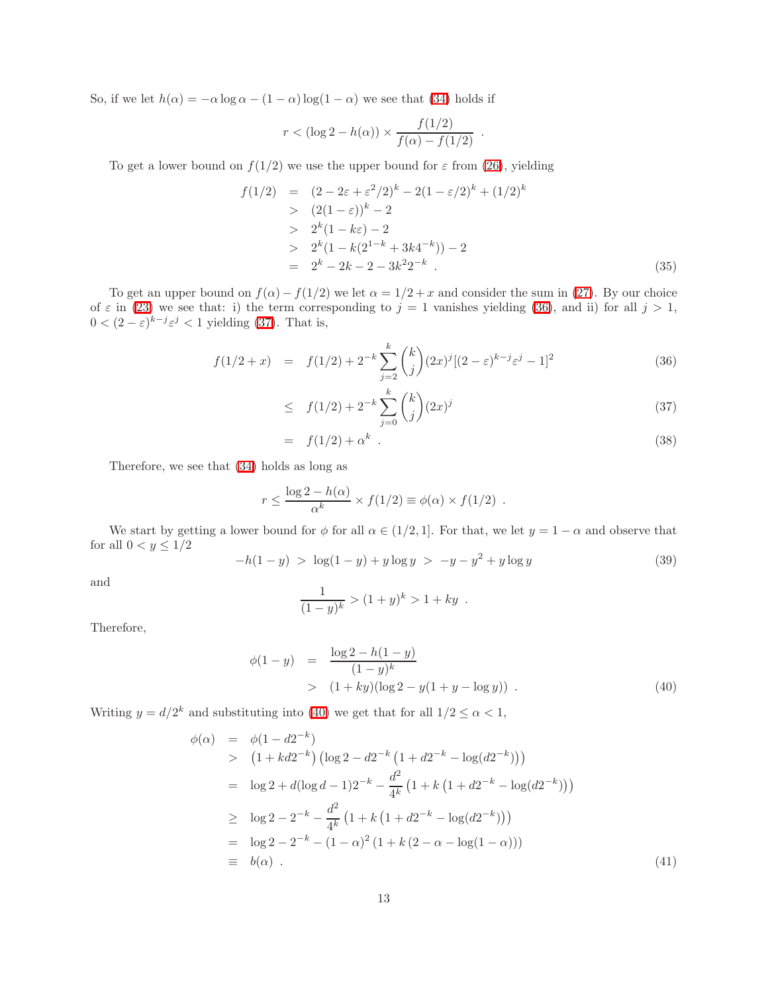So, if we let  $h(\alpha) = -\alpha \log \alpha - (1 - \alpha) \log(1 - \alpha)$  we see that [\(34\)](#page-11-4) holds if

$$
r < (\log 2 - h(\alpha)) \times \frac{f(1/2)}{f(\alpha) - f(1/2)}
$$
.

<span id="page-12-4"></span>To get a lower bound on  $f(1/2)$  we use the upper bound for  $\varepsilon$  from [\(26\)](#page-10-0), yielding

$$
f(1/2) = (2 - 2\varepsilon + \varepsilon^2/2)^k - 2(1 - \varepsilon/2)^k + (1/2)^k
$$
  
>  $(2(1 - \varepsilon))^k - 2$   
>  $2^k(1 - k\varepsilon) - 2$   
>  $2^k(1 - k(2^{1-k} + 3k4^{-k})) - 2$   
=  $2^k - 2k - 2 - 3k^2 2^{-k}$ . (35)

<span id="page-12-0"></span>To get an upper bound on  $f(\alpha) - f(1/2)$  we let  $\alpha = 1/2 + x$  and consider the sum in [\(27\)](#page-10-3). By our choice of  $\varepsilon$  in [\(23\)](#page-9-5) we see that: i) the term corresponding to  $j = 1$  vanishes yielding [\(36\)](#page-12-0), and ii) for all  $j > 1$ ,  $0 < (2 - \varepsilon)^{k-j} \varepsilon^j < 1$  yielding [\(37\)](#page-12-0). That is,

$$
f(1/2+x) = f(1/2) + 2^{-k} \sum_{j=2}^{k} {k \choose j} (2x)^{j} [(2-\varepsilon)^{k-j} \varepsilon^{j} - 1]^{2}
$$
 (36)

$$
\leq f(1/2) + 2^{-k} \sum_{j=0}^{k} {k \choose j} (2x)^j \tag{37}
$$

$$
= f(1/2) + \alpha^k \tag{38}
$$

Therefore, we see that [\(34\)](#page-11-4) holds as long as

$$
r \le \frac{\log 2 - h(\alpha)}{\alpha^k} \times f(1/2) \equiv \phi(\alpha) \times f(1/2) .
$$

<span id="page-12-2"></span>We start by getting a lower bound for  $\phi$  for all  $\alpha \in (1/2, 1]$ . For that, we let  $y = 1 - \alpha$  and observe that for all  $0 < y \leq 1/2$ 

$$
-h(1-y) > \log(1-y) + y \log y > -y - y^2 + y \log y \tag{39}
$$

and

$$
\frac{1}{(1-y)^k} > (1+y)^k > 1 + ky.
$$

<span id="page-12-1"></span>Therefore,

$$
\begin{aligned}\n\phi(1-y) &= \frac{\log 2 - h(1-y)}{(1-y)^k} \\
&> (1+ky)(\log 2 - y(1+y-\log y))\n\end{aligned} \tag{40}
$$

<span id="page-12-3"></span>Writing  $y = d/2^k$  and substituting into [\(40\)](#page-12-1) we get that for all  $1/2 \leq \alpha < 1$ ,

$$
\begin{aligned}\n\phi(\alpha) &= \phi(1 - d2^{-k}) \\
&> \left(1 + kd2^{-k}\right) \left(\log 2 - d2^{-k} \left(1 + d2^{-k} - \log(d2^{-k})\right)\right) \\
&= \log 2 + d(\log d - 1)2^{-k} - \frac{d^2}{4^k} \left(1 + k\left(1 + d2^{-k} - \log(d2^{-k})\right)\right) \\
&\geq \log 2 - 2^{-k} - \frac{d^2}{4^k} \left(1 + k\left(1 + d2^{-k} - \log(d2^{-k})\right)\right) \\
&= \log 2 - 2^{-k} - \left(1 - \alpha\right)^2 \left(1 + k\left(2 - \alpha - \log(1 - \alpha)\right)\right) \\
&\equiv b(\alpha) \,.\n\end{aligned}
$$
\n(41)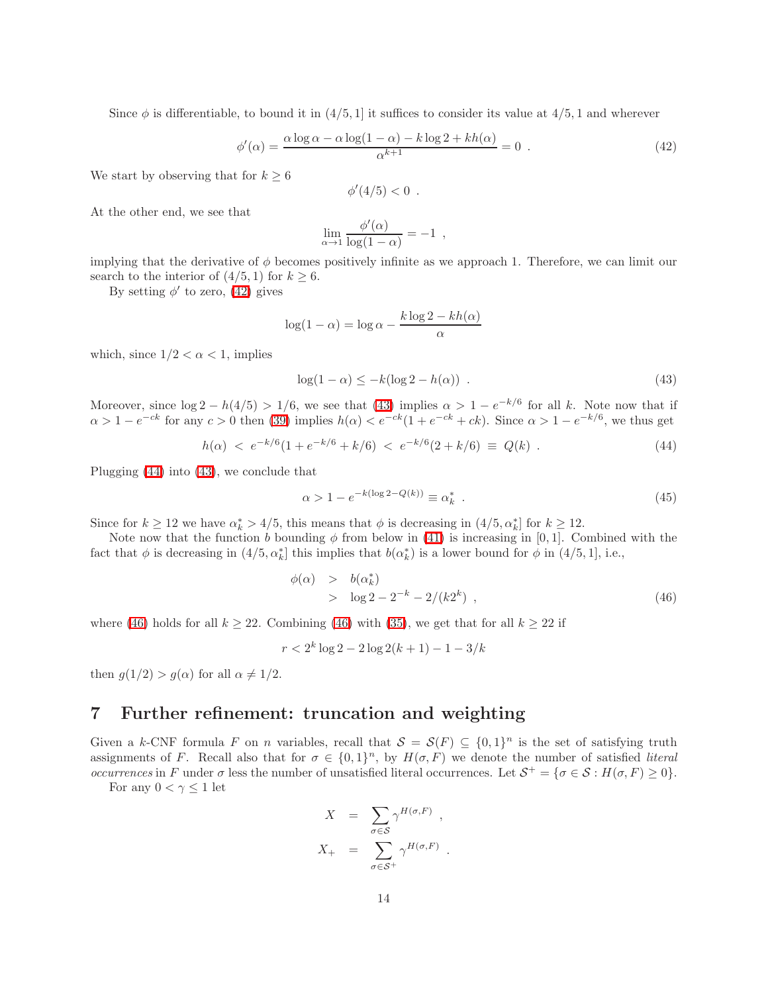Since  $\phi$  is differentiable, to bound it in  $(4/5, 1]$  it suffices to consider its value at  $4/5, 1$  and wherever

$$
\phi'(\alpha) = \frac{\alpha \log \alpha - \alpha \log(1 - \alpha) - k \log 2 + kh(\alpha)}{\alpha^{k+1}} = 0.
$$
\n(42)

We start by observing that for  $k \geq 6$ 

<span id="page-13-1"></span>
$$
\phi'(4/5) < 0.
$$

At the other end, we see that

$$
\lim_{\alpha \to 1} \frac{\phi'(\alpha)}{\log(1-\alpha)} = -1 ,
$$

implying that the derivative of  $\phi$  becomes positively infinite as we approach 1. Therefore, we can limit our search to the interior of  $(4/5, 1)$  for  $k \geq 6$ .

<span id="page-13-2"></span>By setting  $\phi'$  to zero, [\(42\)](#page-13-1) gives

$$
\log(1 - \alpha) = \log \alpha - \frac{k \log 2 - kh(\alpha)}{\alpha}
$$

which, since  $1/2 < \alpha < 1$ , implies

$$
\log(1 - \alpha) \le -k(\log 2 - h(\alpha)) \tag{43}
$$

Moreover, since  $\log 2 - h(4/5) > 1/6$ , we see that [\(43\)](#page-13-2) implies  $\alpha > 1 - e^{-k/6}$  for all k. Note now that if  $\alpha > 1 - e^{-ck}$  for any  $c > 0$  then [\(39\)](#page-12-2) implies  $h(\alpha) < e^{-ck}(1 + e^{-ck} + ck)$ . Since  $\alpha > 1 - e^{-k/6}$ , we thus get

$$
h(\alpha) < e^{-k/6} (1 + e^{-k/6} + k/6) < e^{-k/6} (2 + k/6) \equiv Q(k) \tag{44}
$$

<span id="page-13-3"></span>Plugging [\(44\)](#page-13-3) into [\(43\)](#page-13-2), we conclude that

$$
\alpha > 1 - e^{-k(\log 2 - Q(k))} \equiv \alpha_k^* \tag{45}
$$

Since for  $k \ge 12$  we have  $\alpha_k^* > 4/5$ , this means that  $\phi$  is decreasing in  $(4/5, \alpha_k^*)$  for  $k \ge 12$ .

Note now that the function b bounding  $\phi$  from below in [\(41\)](#page-12-3) is increasing in [0, 1]. Combined with the fact that  $\phi$  is decreasing in  $(4/5, \alpha_k^*]$  this implies that  $b(\alpha_k^*)$  is a lower bound for  $\phi$  in  $(4/5, 1]$ , i.e.,

<span id="page-13-4"></span>
$$
\begin{array}{rcl}\n\phi(\alpha) & > & b(\alpha_k^*) \\
& > & \log 2 - 2^{-k} - 2/(k2^k) \quad ,\n\end{array} \tag{46}
$$

where [\(46\)](#page-13-4) holds for all  $k \geq 22$ . Combining (46) with [\(35\)](#page-12-4), we get that for all  $k \geq 22$  if

$$
r < 2^k \log 2 - 2 \log 2(k+1) - 1 - 3/k
$$

then  $g(1/2) > g(\alpha)$  for all  $\alpha \neq 1/2$ .

## <span id="page-13-0"></span>7 Further refinement: truncation and weighting

Given a k-CNF formula F on n variables, recall that  $S = S(F) \subseteq \{0,1\}^n$  is the set of satisfying truth assignments of F. Recall also that for  $\sigma \in \{0,1\}^n$ , by  $H(\sigma, F)$  we denote the number of satisfied literal occurrences in F under  $\sigma$  less the number of unsatisfied literal occurrences. Let  $\mathcal{S}^+ = \{\sigma \in \mathcal{S} : H(\sigma, F) \ge 0\}.$ 

For any  $0 < \gamma \leq 1$  let

$$
X = \sum_{\sigma \in S} \gamma^{H(\sigma, F)},
$$
  

$$
X_+ = \sum_{\sigma \in S^+} \gamma^{H(\sigma, F)}.
$$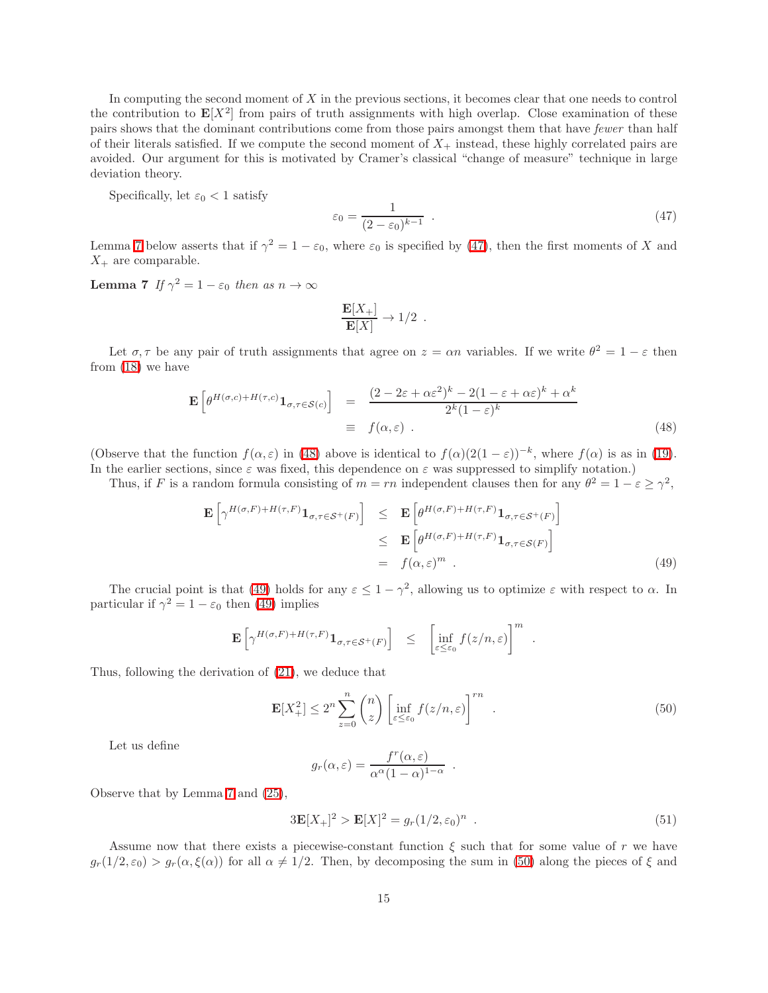In computing the second moment of  $X$  in the previous sections, it becomes clear that one needs to control the contribution to  $E[X^2]$  from pairs of truth assignments with high overlap. Close examination of these pairs shows that the dominant contributions come from those pairs amongst them that have fewer than half of their literals satisfied. If we compute the second moment of  $X_{+}$  instead, these highly correlated pairs are avoided. Our argument for this is motivated by Cramer's classical "change of measure" technique in large deviation theory.

<span id="page-14-1"></span>Specifically, let  $\varepsilon_0 < 1$  satisfy

$$
\varepsilon_0 = \frac{1}{(2 - \varepsilon_0)^{k-1}} \tag{47}
$$

<span id="page-14-0"></span>Lemma [7](#page-14-0) below asserts that if  $\gamma^2 = 1 - \varepsilon_0$ , where  $\varepsilon_0$  is specified by [\(47\)](#page-14-1), then the first moments of X and  $X_+$  are comparable.

**Lemma 7** If  $\gamma^2 = 1 - \varepsilon_0$  then as  $n \to \infty$ 

$$
\frac{\mathbf{E}[X_+]}{\mathbf{E}[X]} \to 1/2 \enspace .
$$

<span id="page-14-2"></span>Let  $\sigma, \tau$  be any pair of truth assignments that agree on  $z = \alpha n$  variables. If we write  $\theta^2 = 1 - \varepsilon$  then from [\(18\)](#page-8-0) we have

$$
\mathbf{E}\left[\theta^{H(\sigma,c)+H(\tau,c)}\mathbf{1}_{\sigma,\tau\in\mathcal{S}(c)}\right] = \frac{(2-2\varepsilon+\alpha\varepsilon^2)^k - 2(1-\varepsilon+\alpha\varepsilon)^k + \alpha^k}{2^k(1-\varepsilon)^k}
$$
  
\n
$$
\equiv f(\alpha,\varepsilon) . \tag{48}
$$

(Observe that the function  $f(\alpha,\varepsilon)$  in [\(48\)](#page-14-2) above is identical to  $f(\alpha)(2(1-\varepsilon))^{-k}$ , where  $f(\alpha)$  is as in [\(19\)](#page-8-0). In the earlier sections, since  $\varepsilon$  was fixed, this dependence on  $\varepsilon$  was suppressed to simplify notation.)

<span id="page-14-3"></span>Thus, if F is a random formula consisting of  $m = rn$  independent clauses then for any  $\theta^2 = 1 - \varepsilon \geq \gamma^2$ ,

$$
\mathbf{E}\left[\gamma^{H(\sigma,F)+H(\tau,F)}\mathbf{1}_{\sigma,\tau\in\mathcal{S}^{+}(F)}\right] \leq \mathbf{E}\left[\theta^{H(\sigma,F)+H(\tau,F)}\mathbf{1}_{\sigma,\tau\in\mathcal{S}^{+}(F)}\right]
$$
\n
$$
\leq \mathbf{E}\left[\theta^{H(\sigma,F)+H(\tau,F)}\mathbf{1}_{\sigma,\tau\in\mathcal{S}(F)}\right]
$$
\n
$$
= f(\alpha,\varepsilon)^{m} . \tag{49}
$$

The crucial point is that [\(49\)](#page-14-3) holds for any  $\varepsilon \leq 1 - \gamma^2$ , allowing us to optimize  $\varepsilon$  with respect to  $\alpha$ . In particular if  $\gamma^2 = 1 - \varepsilon_0$  then [\(49\)](#page-14-3) implies

$$
\mathbf{E}\left[\gamma^{H(\sigma,F)+H(\tau,F)}\mathbf{1}_{\sigma,\tau\in\mathcal{S}^+(F)}\right] \leq \left[\inf_{\varepsilon\leq\varepsilon_0}f(z/n,\varepsilon)\right]^m
$$

Thus, following the derivation of [\(21\)](#page-9-0), we deduce that

<span id="page-14-4"></span>
$$
\mathbf{E}[X_{+}^{2}] \leq 2^{n} \sum_{z=0}^{n} {n \choose z} \left[ \inf_{\varepsilon \leq \varepsilon_{0}} f(z/n, \varepsilon) \right]^{rn} . \tag{50}
$$

.

.

Let us define

$$
g_r(\alpha, \varepsilon) = \frac{f^r(\alpha, \varepsilon)}{\alpha^{\alpha}(1 - \alpha)^{1 - \alpha}}
$$

Observe that by Lemma [7](#page-14-0) and [\(25\)](#page-9-4),

$$
3\mathbf{E}[X_{+}]^{2} > \mathbf{E}[X]^{2} = g_{r}(1/2, \varepsilon_{0})^{n} . \tag{51}
$$

Assume now that there exists a piecewise-constant function  $\xi$  such that for some value of r we have  $g_r(1/2, \varepsilon_0) > g_r(\alpha, \xi(\alpha))$  for all  $\alpha \neq 1/2$ . Then, by decomposing the sum in [\(50\)](#page-14-4) along the pieces of  $\xi$  and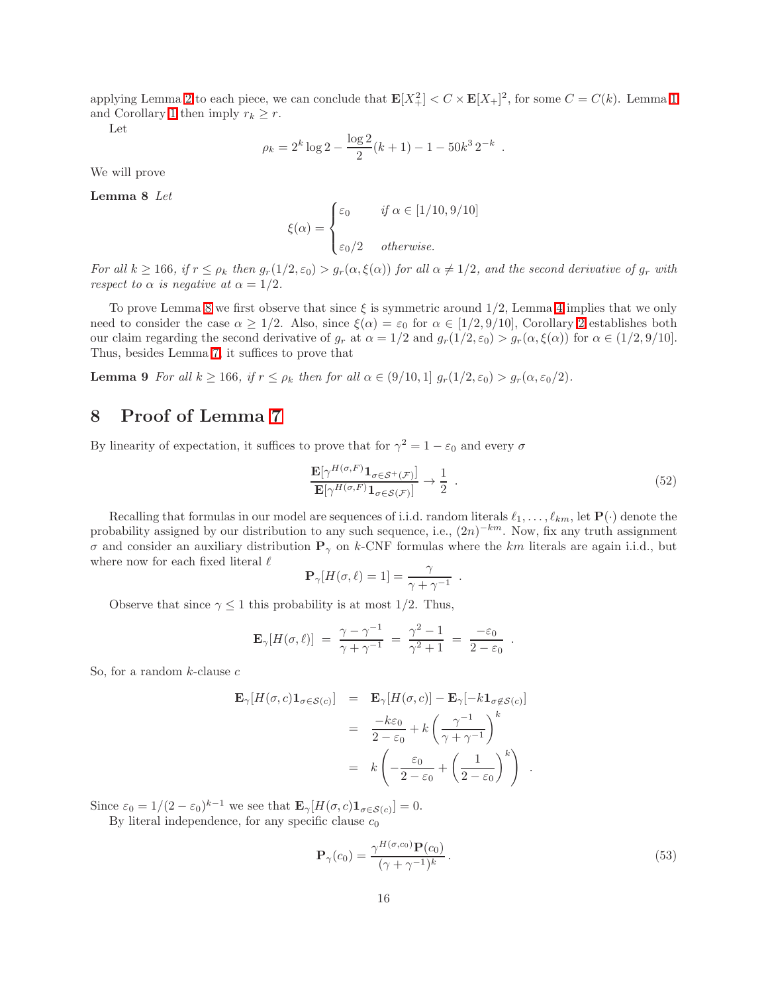applying Lemma [2](#page-9-1) to each piece, we can conclude that  $\mathbf{E}[X_{+}^{2}] < C \times \mathbf{E}[X_{+}]^{2}$ , for some  $C = C(k)$ . Lemma [1](#page-2-3) and Corollary [1](#page-2-4) then imply  $r_k \geq r$ .

Let

$$
\rho_k = 2^k \log 2 - \frac{\log 2}{2} (k+1) - 1 - 50k^3 2^{-k} .
$$

<span id="page-15-0"></span>We will prove

Lemma 8 Let

<span id="page-15-3"></span>
$$
\xi(\alpha) = \begin{cases} \varepsilon_0 & \text{if } \alpha \in [1/10, 9/10] \\ \varepsilon_0/2 & \text{otherwise.} \end{cases}
$$

For all  $k \ge 166$ , if  $r \le \rho_k$  then  $g_r(1/2, \varepsilon_0) > g_r(\alpha, \xi(\alpha))$  for all  $\alpha \ne 1/2$ , and the second derivative of  $g_r$  with respect to  $\alpha$  is negative at  $\alpha = 1/2$ .

To prove Lemma [8](#page-15-0) we first observe that since  $\xi$  is symmetric around  $1/2$ , Lemma [4](#page-10-1) implies that we only need to consider the case  $\alpha \geq 1/2$ . Also, since  $\xi(\alpha) = \varepsilon_0$  for  $\alpha \in [1/2, 9/10]$ , Corollary [2](#page-11-5) establishes both our claim regarding the second derivative of  $g_r$  at  $\alpha = 1/2$  and  $g_r(1/2, \varepsilon_0) > g_r(\alpha, \xi(\alpha))$  for  $\alpha \in (1/2, 9/10]$ . Thus, besides Lemma [7,](#page-14-0) it suffices to prove that

**Lemma 9** For all  $k \ge 166$ , if  $r \le \rho_k$  then for all  $\alpha \in (9/10, 1]$   $g_r(1/2, \varepsilon_0) > g_r(\alpha, \varepsilon_0/2)$ .

# 8 Proof of Lemma [7](#page-14-0)

By linearity of expectation, it suffices to prove that for  $\gamma^2 = 1 - \varepsilon_0$  and every  $\sigma$ 

<span id="page-15-2"></span>
$$
\frac{\mathbf{E}[\gamma^{H(\sigma,F)}\mathbf{1}_{\sigma\in\mathcal{S}^+(\mathcal{F})}]}{\mathbf{E}[\gamma^{H(\sigma,F)}\mathbf{1}_{\sigma\in\mathcal{S}(\mathcal{F})}]}\to\frac{1}{2}.
$$
\n(52)

.

.

Recalling that formulas in our model are sequences of i.i.d. random literals  $\ell_1, \ldots, \ell_{km}$ , let  $\mathbf{P}(\cdot)$  denote the probability assigned by our distribution to any such sequence, i.e.,  $(2n)^{-km}$ . Now, fix any truth assignment  $\sigma$  and consider an auxiliary distribution  $\mathbf{P}_{\gamma}$  on k-CNF formulas where the km literals are again i.i.d., but where now for each fixed literal  $\ell$ 

$$
\mathbf{P}_{\gamma}[H(\sigma,\ell)=1]=\frac{\gamma}{\gamma+\gamma^{-1}}\enspace.
$$

Observe that since  $\gamma \leq 1$  this probability is at most 1/2. Thus,

$$
\mathbf{E}_{\gamma}[H(\sigma,\ell)] = \frac{\gamma - \gamma^{-1}}{\gamma + \gamma^{-1}} = \frac{\gamma^2 - 1}{\gamma^2 + 1} = \frac{-\varepsilon_0}{2 - \varepsilon_0}
$$

So, for a random  $k$ -clause  $c$ 

$$
\mathbf{E}_{\gamma}[H(\sigma, c)\mathbf{1}_{\sigma \in S(c)}] = \mathbf{E}_{\gamma}[H(\sigma, c)] - \mathbf{E}_{\gamma}[-k\mathbf{1}_{\sigma \notin S(c)}]
$$

$$
= \frac{-k\varepsilon_0}{2-\varepsilon_0} + k\left(\frac{\gamma^{-1}}{\gamma + \gamma^{-1}}\right)^k
$$

$$
= k\left(-\frac{\varepsilon_0}{2-\varepsilon_0} + \left(\frac{1}{2-\varepsilon_0}\right)^k\right)
$$

Since  $\varepsilon_0 = 1/(2 - \varepsilon_0)^{k-1}$  we see that  $\mathbf{E}_{\gamma}[H(\sigma, c) \mathbf{1}_{\sigma \in \mathcal{S}(c)}] = 0$ .

By literal independence, for any specific clause  $c_0$ 

<span id="page-15-1"></span>
$$
\mathbf{P}_{\gamma}(c_0) = \frac{\gamma^{H(\sigma, c_0)} \mathbf{P}(c_0)}{(\gamma + \gamma^{-1})^k}.
$$
\n(53)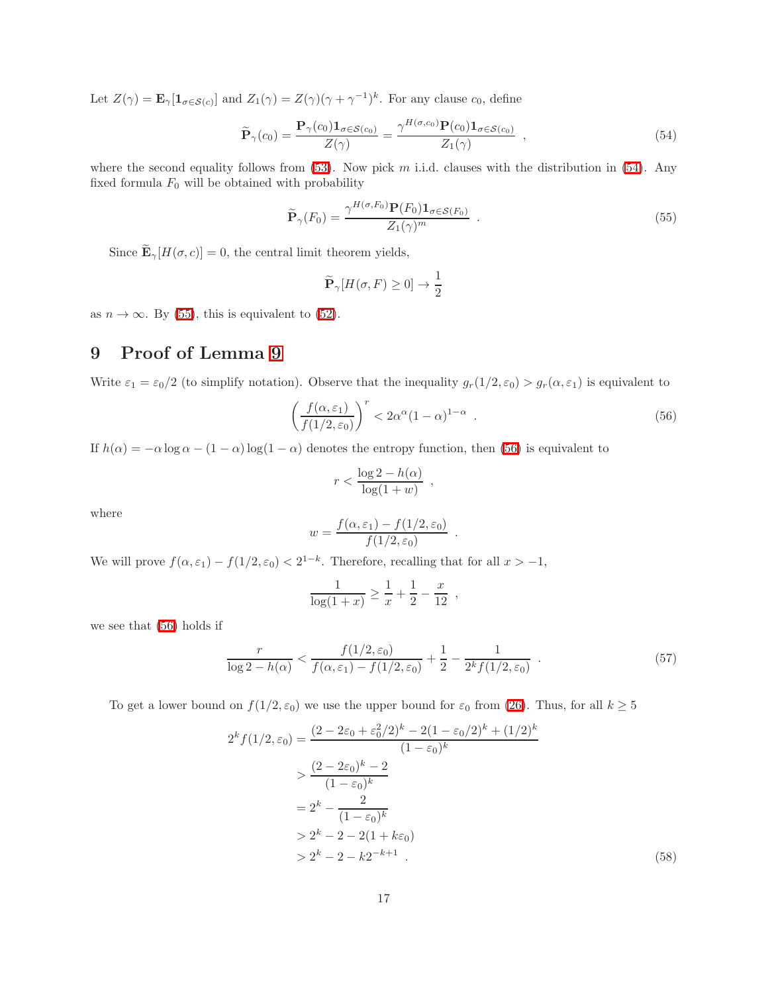Let  $Z(\gamma) = \mathbf{E}_{\gamma}[\mathbf{1}_{\sigma \in \mathcal{S}(c)}]$  and  $Z_1(\gamma) = Z(\gamma)(\gamma + \gamma^{-1})^k$ . For any clause  $c_0$ , define

$$
\widetilde{\mathbf{P}}_{\gamma}(c_0) = \frac{\mathbf{P}_{\gamma}(c_0)\mathbf{1}_{\sigma \in \mathcal{S}(c_0)}}{Z(\gamma)} = \frac{\gamma^{H(\sigma, c_0)}\mathbf{P}(c_0)\mathbf{1}_{\sigma \in \mathcal{S}(c_0)}}{Z_1(\gamma)} ,
$$
\n(54)

where the second equality follows from  $(53)$ . Now pick m i.i.d. clauses with the distribution in  $(54)$ . Any fixed formula  $F_0$  will be obtained with probability

<span id="page-16-2"></span><span id="page-16-1"></span>
$$
\widetilde{\mathbf{P}}_{\gamma}(F_0) = \frac{\gamma^{H(\sigma, F_0)} \mathbf{P}(F_0) \mathbf{1}_{\sigma \in \mathcal{S}(F_0)}}{Z_1(\gamma)^m} \tag{55}
$$

Since  $\widetilde{\mathbf{E}}_{\gamma}[H(\sigma, c)] = 0$ , the central limit theorem yields,

$$
\widetilde{\mathbf{P}}_{\gamma}[H(\sigma, F) \ge 0] \to \frac{1}{2}
$$

as  $n \to \infty$ . By [\(55\)](#page-16-2), this is equivalent to [\(52\)](#page-15-2).

# <span id="page-16-0"></span>9 Proof of Lemma [9](#page-15-3)

Write  $\varepsilon_1 = \varepsilon_0/2$  (to simplify notation). Observe that the inequality  $g_r(1/2, \varepsilon_0) > g_r(\alpha, \varepsilon_1)$  is equivalent to

$$
\left(\frac{f(\alpha,\varepsilon_1)}{f(1/2,\varepsilon_0)}\right)^r < 2\alpha^{\alpha}(1-\alpha)^{1-\alpha} \tag{56}
$$

If  $h(\alpha) = -\alpha \log \alpha - (1 - \alpha) \log(1 - \alpha)$  denotes the entropy function, then [\(56\)](#page-16-3) is equivalent to

$$
r < \frac{\log 2 - h(\alpha)}{\log(1 + w)} ,
$$

where

$$
w = \frac{f(\alpha, \varepsilon_1) - f(1/2, \varepsilon_0)}{f(1/2, \varepsilon_0)}
$$

We will prove  $f(\alpha, \varepsilon_1) - f(1/2, \varepsilon_0) < 2^{1-k}$ . Therefore, recalling that for all  $x > -1$ ,

$$
\frac{1}{\log(1+x)} \ge \frac{1}{x} + \frac{1}{2} - \frac{x}{12}
$$

<span id="page-16-5"></span>we see that [\(56\)](#page-16-3) holds if

$$
\frac{r}{\log 2 - h(\alpha)} < \frac{f(1/2, \varepsilon_0)}{f(\alpha, \varepsilon_1) - f(1/2, \varepsilon_0)} + \frac{1}{2} - \frac{1}{2^k f(1/2, \varepsilon_0)} \tag{57}
$$

<span id="page-16-3"></span>.

<span id="page-16-4"></span>,

To get a lower bound on  $f(1/2, \varepsilon_0)$  we use the upper bound for  $\varepsilon_0$  from [\(26\)](#page-10-0). Thus, for all  $k \ge 5$ 

$$
2^{k} f(1/2, \varepsilon_{0}) = \frac{(2 - 2\varepsilon_{0} + \varepsilon_{0}^{2}/2)^{k} - 2(1 - \varepsilon_{0}/2)^{k} + (1/2)^{k}}{(1 - \varepsilon_{0})^{k}}
$$
  
\n
$$
> \frac{(2 - 2\varepsilon_{0})^{k} - 2}{(1 - \varepsilon_{0})^{k}}
$$
  
\n
$$
= 2^{k} - \frac{2}{(1 - \varepsilon_{0})^{k}}
$$
  
\n
$$
> 2^{k} - 2 - 2(1 + k\varepsilon_{0})
$$
  
\n
$$
> 2^{k} - 2 - k2^{-k+1}.
$$
 (58)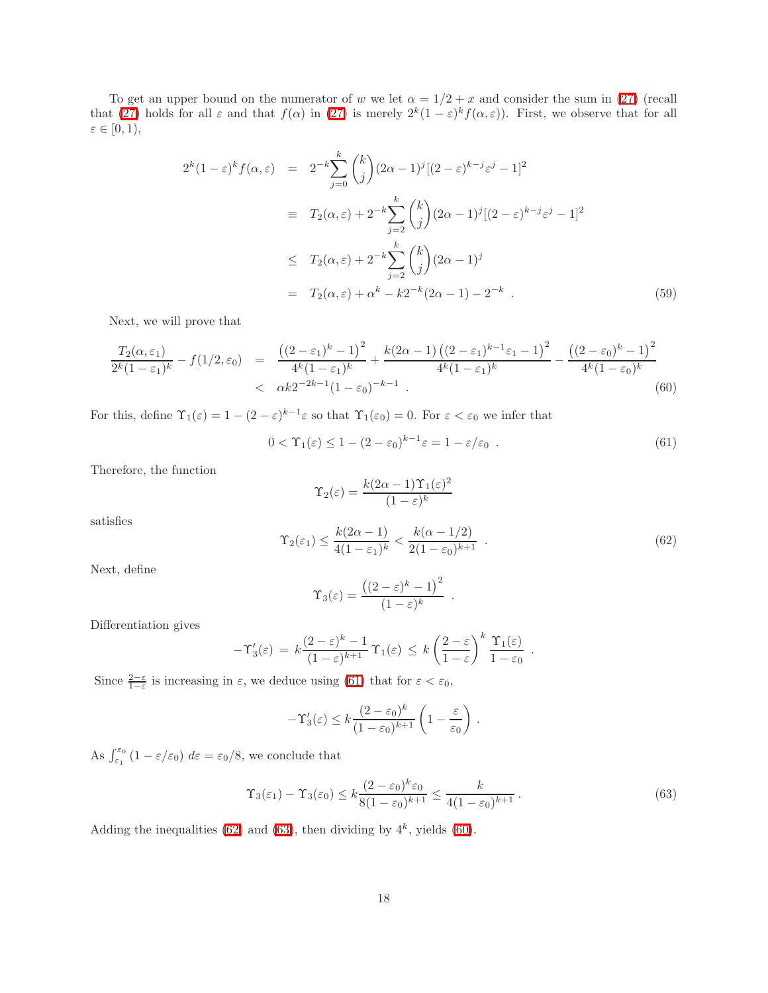<span id="page-17-4"></span>To get an upper bound on the numerator of w we let  $\alpha = 1/2 + x$  and consider the sum in [\(27\)](#page-10-3) (recall that [\(27\)](#page-10-3) holds for all  $\varepsilon$  and that  $f(\alpha)$  in (27) is merely  $2^k(1-\varepsilon)^k f(\alpha,\varepsilon)$ ). First, we observe that for all  $\varepsilon \in [0,1),$ 

$$
2^{k}(1-\varepsilon)^{k} f(\alpha, \varepsilon) = 2^{-k} \sum_{j=0}^{k} {k \choose j} (2\alpha - 1)^{j} [(2 - \varepsilon)^{k-j} \varepsilon^{j} - 1]^{2}
$$
  
\n
$$
\equiv T_{2}(\alpha, \varepsilon) + 2^{-k} \sum_{j=2}^{k} {k \choose j} (2\alpha - 1)^{j} [(2 - \varepsilon)^{k-j} \varepsilon^{j} - 1]^{2}
$$
  
\n
$$
\leq T_{2}(\alpha, \varepsilon) + 2^{-k} \sum_{j=2}^{k} {k \choose j} (2\alpha - 1)^{j}
$$
  
\n
$$
= T_{2}(\alpha, \varepsilon) + \alpha^{k} - k2^{-k} (2\alpha - 1) - 2^{-k} . \tag{59}
$$

Next, we will prove that

$$
\frac{T_2(\alpha, \varepsilon_1)}{2^k (1 - \varepsilon_1)^k} - f(1/2, \varepsilon_0) = \frac{\left((2 - \varepsilon_1)^k - 1\right)^2}{4^k (1 - \varepsilon_1)^k} + \frac{k(2\alpha - 1)\left((2 - \varepsilon_1)^{k-1}\varepsilon_1 - 1\right)^2}{4^k (1 - \varepsilon_1)^k} - \frac{\left((2 - \varepsilon_0)^k - 1\right)^2}{4^k (1 - \varepsilon_0)^k} \tag{60}
$$

<span id="page-17-3"></span>For this, define  $\Upsilon_1(\varepsilon) = 1 - (2 - \varepsilon)^{k-1} \varepsilon$  so that  $\Upsilon_1(\varepsilon_0) = 0$ . For  $\varepsilon < \varepsilon_0$  we infer that

$$
0 < \Upsilon_1(\varepsilon) \le 1 - (2 - \varepsilon_0)^{k-1} \varepsilon = 1 - \varepsilon/\varepsilon_0 \tag{61}
$$

Therefore, the function

<span id="page-17-0"></span>
$$
\Upsilon_2(\varepsilon) = \frac{k(2\alpha - 1)\Upsilon_1(\varepsilon)^2}{(1 - \varepsilon)^k}
$$

<span id="page-17-1"></span>satisfies

$$
\Upsilon_2(\varepsilon_1) \le \frac{k(2\alpha - 1)}{4(1 - \varepsilon_1)^k} < \frac{k(\alpha - 1/2)}{2(1 - \varepsilon_0)^{k+1}} \tag{62}
$$

.

Next, define

$$
\Upsilon_3(\varepsilon) = \frac{\left((2-\varepsilon)^k - 1\right)^2}{(1-\varepsilon)^k}
$$

Differentiation gives

$$
-\Upsilon_3'(\varepsilon) = k \frac{(2-\varepsilon)^k - 1}{(1-\varepsilon)^{k+1}} \Upsilon_1(\varepsilon) \leq k \left(\frac{2-\varepsilon}{1-\varepsilon}\right)^k \frac{\Upsilon_1(\varepsilon)}{1-\varepsilon_0}.
$$

Since  $\frac{2-\varepsilon}{1-\varepsilon}$  is increasing in  $\varepsilon$ , we deduce using [\(61\)](#page-17-0) that for  $\varepsilon < \varepsilon_0$ ,

<span id="page-17-2"></span>
$$
-\Upsilon_3'(\varepsilon) \leq k \frac{(2-\varepsilon_0)^k}{(1-\varepsilon_0)^{k+1}} \left(1-\frac{\varepsilon}{\varepsilon_0}\right) \, .
$$

As  $\int_{\varepsilon_1}^{\varepsilon_0} (1 - \varepsilon/\varepsilon_0) d\varepsilon = \varepsilon_0/8$ , we conclude that

$$
\Upsilon_3(\varepsilon_1) - \Upsilon_3(\varepsilon_0) \le k \frac{(2 - \varepsilon_0)^k \varepsilon_0}{8(1 - \varepsilon_0)^{k+1}} \le \frac{k}{4(1 - \varepsilon_0)^{k+1}}.
$$
\n(63)

Adding the inequalities [\(62\)](#page-17-1) and [\(63\)](#page-17-2), then dividing by  $4^k$ , yields [\(60\)](#page-17-3).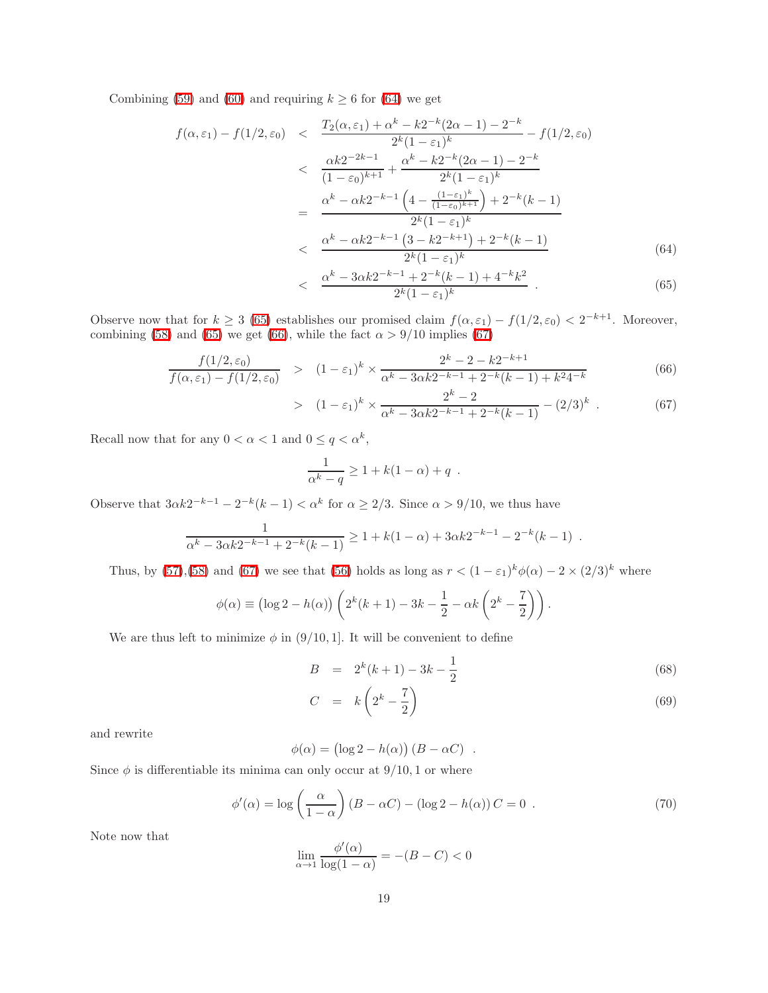<span id="page-18-0"></span>Combining [\(59\)](#page-17-4) and [\(60\)](#page-17-3) and requiring  $k \geq 6$  for [\(64\)](#page-18-0) we get

$$
f(\alpha, \varepsilon_1) - f(1/2, \varepsilon_0) \quad < \quad \frac{T_2(\alpha, \varepsilon_1) + \alpha^k - k2^{-k}(2\alpha - 1) - 2^{-k}}{2^k(1 - \varepsilon_1)^k} - f(1/2, \varepsilon_0)
$$
\n
$$
\quad < \quad \frac{\alpha k2^{-2k-1}}{(1 - \varepsilon_0)^{k+1}} + \frac{\alpha^k - k2^{-k}(2\alpha - 1) - 2^{-k}}{2^k(1 - \varepsilon_1)^k}
$$
\n
$$
\quad = \quad \frac{\alpha^k - \alpha k2^{-k-1}\left(4 - \frac{(1 - \varepsilon_1)^k}{(1 - \varepsilon_0)^{k+1}}\right) + 2^{-k}(k - 1)}{2^k(1 - \varepsilon_1)^k}
$$
\n
$$
\quad < \quad \frac{\alpha^k - \alpha k2^{-k-1}\left(3 - k2^{-k+1}\right) + 2^{-k}(k - 1)}{2^k(1 - \varepsilon_1)^k} \tag{64}
$$

$$
<\quad \frac{\alpha^k - 3\alpha k 2^{-k-1} + 2^{-k}(k-1) + 4^{-k}k^2}{2^k(1-\varepsilon_1)^k} \tag{65}
$$

<span id="page-18-1"></span>Observe now that for  $k \geq 3$  [\(65\)](#page-18-0) establishes our promised claim  $f(\alpha, \varepsilon_1) - f(1/2, \varepsilon_0) < 2^{-k+1}$ . Moreover, combining [\(58\)](#page-16-4) and [\(65\)](#page-18-0) we get [\(66\)](#page-18-1), while the fact  $\alpha > 9/10$  implies [\(67\)](#page-18-1)

$$
\frac{f(1/2, \varepsilon_0)}{f(\alpha, \varepsilon_1) - f(1/2, \varepsilon_0)} \quad > \quad (1 - \varepsilon_1)^k \times \frac{2^k - 2 - k2^{-k+1}}{\alpha^k - 3\alpha k2^{-k-1} + 2^{-k}(k-1) + k^2 4^{-k}} \tag{66}
$$

$$
(1 - \varepsilon_1)^k \times \frac{2^k - 2}{\alpha^k - 3\alpha k 2^{-k-1} + 2^{-k}(k-1)} - (2/3)^k \tag{67}
$$

Recall now that for any  $0 < \alpha < 1$  and  $0 \le q < \alpha^k$ ,

$$
\frac{1}{\alpha^k - q} \ge 1 + k(1 - \alpha) + q .
$$

Observe that  $3\alpha k2^{-k-1} - 2^{-k}(k-1) < \alpha^k$  for  $\alpha \geq 2/3$ . Since  $\alpha > 9/10$ , we thus have

 $>$ 

$$
\frac{1}{\alpha^k - 3\alpha k 2^{-k-1} + 2^{-k}(k-1)} \ge 1 + k(1-\alpha) + 3\alpha k 2^{-k-1} - 2^{-k}(k-1) .
$$

Thus, by [\(57\)](#page-16-5),[\(58\)](#page-16-4) and [\(67\)](#page-18-1) we see that [\(56\)](#page-16-3) holds as long as  $r < (1 - \varepsilon_1)^k \phi(\alpha) - 2 \times (2/3)^k$  where

$$
\phi(\alpha) \equiv (\log 2 - h(\alpha)) \left( 2^k (k+1) - 3k - \frac{1}{2} - \alpha k \left( 2^k - \frac{7}{2} \right) \right).
$$

We are thus left to minimize  $\phi$  in (9/10, 1]. It will be convenient to define

$$
B = 2^{k}(k+1) - 3k - \frac{1}{2}
$$
\n(68)

$$
C = k \left( 2^k - \frac{7}{2} \right) \tag{69}
$$

and rewrite

<span id="page-18-2"></span>
$$
\phi(\alpha) = (\log 2 - h(\alpha)) (B - \alpha C) .
$$

Since  $\phi$  is differentiable its minima can only occur at  $9/10$ , 1 or where

$$
\phi'(\alpha) = \log\left(\frac{\alpha}{1-\alpha}\right)(B-\alpha C) - (\log 2 - h(\alpha))C = 0.
$$
\n(70)

Note now that

$$
\lim_{\alpha \to 1} \frac{\phi'(\alpha)}{\log(1 - \alpha)} = -(B - C) < 0
$$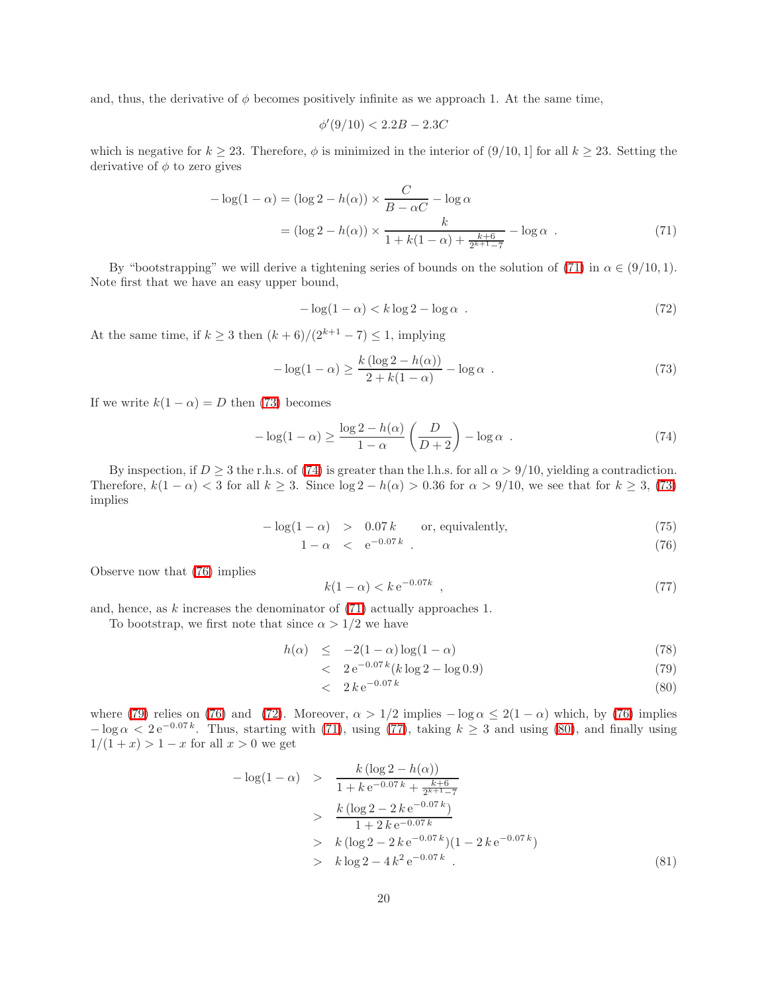and, thus, the derivative of  $\phi$  becomes positively infinite as we approach 1. At the same time,

<span id="page-19-0"></span>
$$
\phi'(9/10) < 2.2B - 2.3C
$$

which is negative for  $k \geq 23$ . Therefore,  $\phi$  is minimized in the interior of  $(9/10, 1]$  for all  $k \geq 23$ . Setting the derivative of  $\phi$  to zero gives

$$
-\log(1-\alpha) = (\log 2 - h(\alpha)) \times \frac{C}{B - \alpha C} - \log \alpha
$$

$$
= (\log 2 - h(\alpha)) \times \frac{k}{1 + k(1 - \alpha) + \frac{k + 6}{2^{k + 1} - 7}} - \log \alpha . \tag{71}
$$

By "bootstrapping" we will derive a tightening series of bounds on the solution of [\(71\)](#page-19-0) in  $\alpha \in (9/10, 1)$ . Note first that we have an easy upper bound,

<span id="page-19-5"></span><span id="page-19-1"></span>
$$
-\log(1-\alpha) < k\log 2 - \log \alpha \tag{72}
$$

At the same time, if  $k \geq 3$  then  $(k+6)/(2^{k+1}-7) \leq 1$ , implying

<span id="page-19-2"></span>
$$
-\log(1-\alpha) \ge \frac{k(\log 2 - h(\alpha))}{2 + k(1-\alpha)} - \log \alpha \tag{73}
$$

If we write  $k(1 - \alpha) = D$  then [\(73\)](#page-19-1) becomes

$$
-\log(1-\alpha) \ge \frac{\log 2 - h(\alpha)}{1-\alpha} \left(\frac{D}{D+2}\right) - \log \alpha \tag{74}
$$

By inspection, if  $D \geq 3$  the r.h.s. of [\(74\)](#page-19-2) is greater than the l.h.s. for all  $\alpha > 9/10$ , yielding a contradiction. Therefore,  $k(1 - \alpha) < 3$  for all  $k \ge 3$ . Since  $\log 2 - h(\alpha) > 0.36$  for  $\alpha > 9/10$ , we see that for  $k \ge 3$ , [\(73\)](#page-19-1) implies

<span id="page-19-3"></span>
$$
-\log(1-\alpha) > 0.07 k
$$
 or, equivalently, (75)

$$
1 - \alpha \ \ < \ \ e^{-0.07 k} \ \ . \tag{76}
$$

<span id="page-19-6"></span>Observe now that [\(76\)](#page-19-3) implies

$$
k(1 - \alpha) < k \, \mathrm{e}^{-0.07k} \tag{77}
$$

and, hence, as k increases the denominator of [\(71\)](#page-19-0) actually approaches 1.

To bootstrap, we first note that since  $\alpha > 1/2$  we have

<span id="page-19-4"></span>
$$
h(\alpha) \le -2(1-\alpha)\log(1-\alpha) \tag{78}
$$

$$
< 2 e^{-0.07 k} (k \log 2 - \log 0.9) \tag{79}
$$

$$
< 2k e^{-0.07k} \tag{80}
$$

<span id="page-19-7"></span>where [\(79\)](#page-19-4) relies on [\(76\)](#page-19-3) and [\(72\)](#page-19-5). Moreover,  $\alpha > 1/2$  implies  $-\log \alpha \leq 2(1-\alpha)$  which, by (76) implies  $-\log \alpha < 2 e^{-0.07 k}$ . Thus, starting with [\(71\)](#page-19-0), using [\(77\)](#page-19-6), taking  $k \ge 3$  and using [\(80\)](#page-19-4), and finally using  $1/(1+x) > 1-x$  for all  $x > 0$  we get

$$
-\log(1-\alpha) > \frac{k(\log 2 - h(\alpha))}{1 + k e^{-0.07k} + \frac{k+6}{2^{k+1}-7}}
$$
  
> 
$$
\frac{k(\log 2 - 2k e^{-0.07k})}{1 + 2k e^{-0.07k}}
$$
  
> 
$$
k(\log 2 - 2k e^{-0.07k})(1 - 2k e^{-0.07k})
$$
  
> 
$$
k \log 2 - 4k^2 e^{-0.07k}
$$
 (81)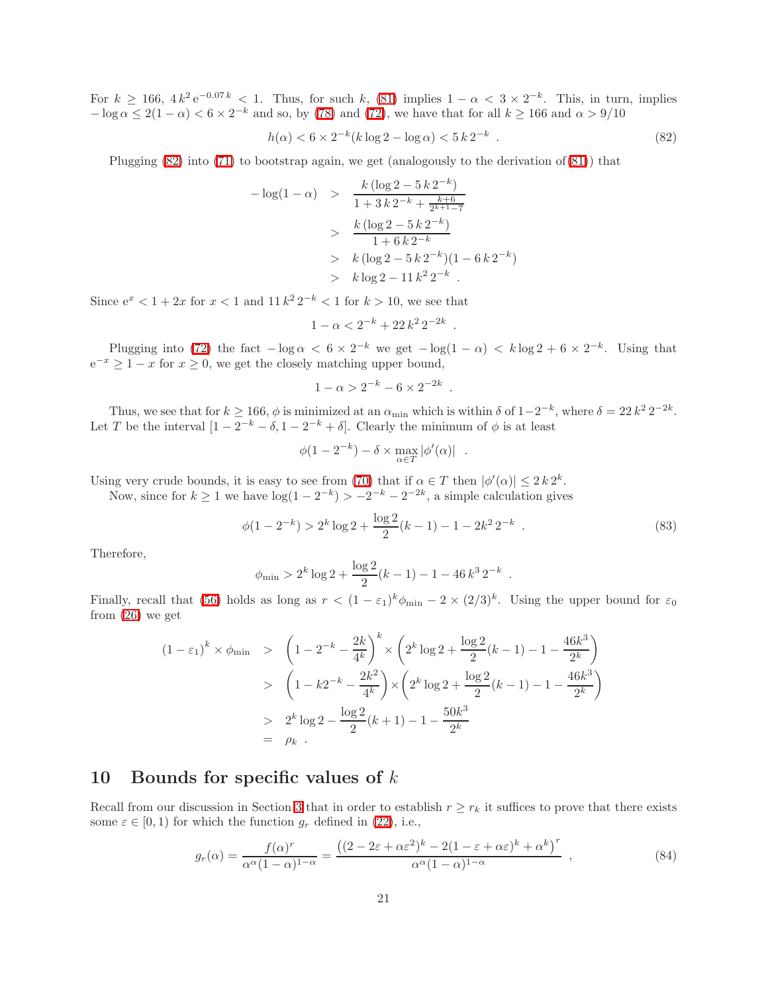For  $k \geq 166$ ,  $4k^2e^{-0.07k} < 1$ . Thus, for such k, [\(81\)](#page-19-7) implies  $1 - \alpha < 3 \times 2^{-k}$ . This, in turn, implies  $-\log \alpha \leq 2(1-\alpha) < 6 \times 2^{-k}$  and so, by [\(78\)](#page-19-4) and [\(72\)](#page-19-5), we have that for all  $k \geq 166$  and  $\alpha > 9/10$ 

<span id="page-20-1"></span>
$$
h(\alpha) < 6 \times 2^{-k} (k \log 2 - \log \alpha) < 5 \, k \, 2^{-k} \tag{82}
$$

Plugging  $(82)$  into  $(71)$  to bootstrap again, we get (analogously to the derivation of $(81)$ ) that

$$
-\log(1-\alpha) > \frac{k(\log 2 - 5k2^{-k})}{1 + 3k2^{-k} + \frac{k+6}{2^{k+1}-7}}
$$
  
> 
$$
\frac{k(\log 2 - 5k2^{-k})}{1 + 6k2^{-k}}
$$
  
> 
$$
k(\log 2 - 5k2^{-k})(1 - 6k2^{-k})
$$
  
> 
$$
k \log 2 - 11k^22^{-k}
$$
.

Since  $e^x < 1 + 2x$  for  $x < 1$  and  $11 k^2 2^{-k} < 1$  for  $k > 10$ , we see that

$$
1 - \alpha < 2^{-k} + 22 k^2 \, 2^{-2k} \, \, .
$$

Plugging into [\(72\)](#page-19-5) the fact  $-\log \alpha < 6 \times 2^{-k}$  we get  $-\log(1-\alpha) < k \log 2 + 6 \times 2^{-k}$ . Using that  $e^{-x} \geq 1 - x$  for  $x \geq 0$ , we get the closely matching upper bound,

$$
1 - \alpha > 2^{-k} - 6 \times 2^{-2k} .
$$

Thus, we see that for  $k \ge 166$ ,  $\phi$  is minimized at an  $\alpha_{\min}$  which is within  $\delta$  of  $1-2^{-k}$ , where  $\delta = 22 k^2 2^{-2k}$ . Let T be the interval  $[1 - 2^{-k} - \delta, 1 - 2^{-k} + \delta]$ . Clearly the minimum of  $\phi$  is at least

$$
\phi(1-2^{-k}) - \delta \times \max_{\alpha \in T} |\phi'(\alpha)| \quad .
$$

Using very crude bounds, it is easy to see from [\(70\)](#page-18-2) that if  $\alpha \in T$  then  $|\phi'(\alpha)| \leq 2k 2^k$ .

Now, since for  $k \geq 1$  we have  $\log(1 - 2^{-k}) > -2^{-k} - 2^{-2k}$ , a simple calculation gives

$$
\phi(1 - 2^{-k}) > 2^k \log 2 + \frac{\log 2}{2}(k - 1) - 1 - 2k^2 2^{-k} . \tag{83}
$$

.

Therefore,

$$
\phi_{\min} > 2^k \log 2 + \frac{\log 2}{2} (k - 1) - 1 - 46 k^3 2^{-k}
$$

Finally, recall that [\(56\)](#page-16-3) holds as long as  $r < (1 - \varepsilon_1)^k \phi_{\min} - 2 \times (2/3)^k$ . Using the upper bound for  $\varepsilon_0$ from [\(26\)](#page-10-0) we get

$$
(1 - \varepsilon_1)^k \times \phi_{\min} > \left(1 - 2^{-k} - \frac{2k}{4^k}\right)^k \times \left(2^k \log 2 + \frac{\log 2}{2}(k-1) - 1 - \frac{46k^3}{2^k}\right)
$$
  
> 
$$
\left(1 - k2^{-k} - \frac{2k^2}{4^k}\right) \times \left(2^k \log 2 + \frac{\log 2}{2}(k-1) - 1 - \frac{46k^3}{2^k}\right)
$$
  
> 
$$
2^k \log 2 - \frac{\log 2}{2}(k+1) - 1 - \frac{50k^3}{2^k}
$$
  
=  $\rho_k$ .

#### <span id="page-20-0"></span>10 Bounds for specific values of  $k$

Recall from our discussion in Section [3](#page-7-0) that in order to establish  $r \geq r_k$  it suffices to prove that there exists some  $\varepsilon \in [0, 1)$  for which the function  $g_r$  defined in [\(22\)](#page-9-6), i.e.,

<span id="page-20-2"></span>
$$
g_r(\alpha) = \frac{f(\alpha)^r}{\alpha^{\alpha}(1-\alpha)^{1-\alpha}} = \frac{\left((2-2\varepsilon+\alpha\varepsilon^2)^k - 2(1-\varepsilon+\alpha\varepsilon)^k + \alpha^k\right)^r}{\alpha^{\alpha}(1-\alpha)^{1-\alpha}} , \qquad (84)
$$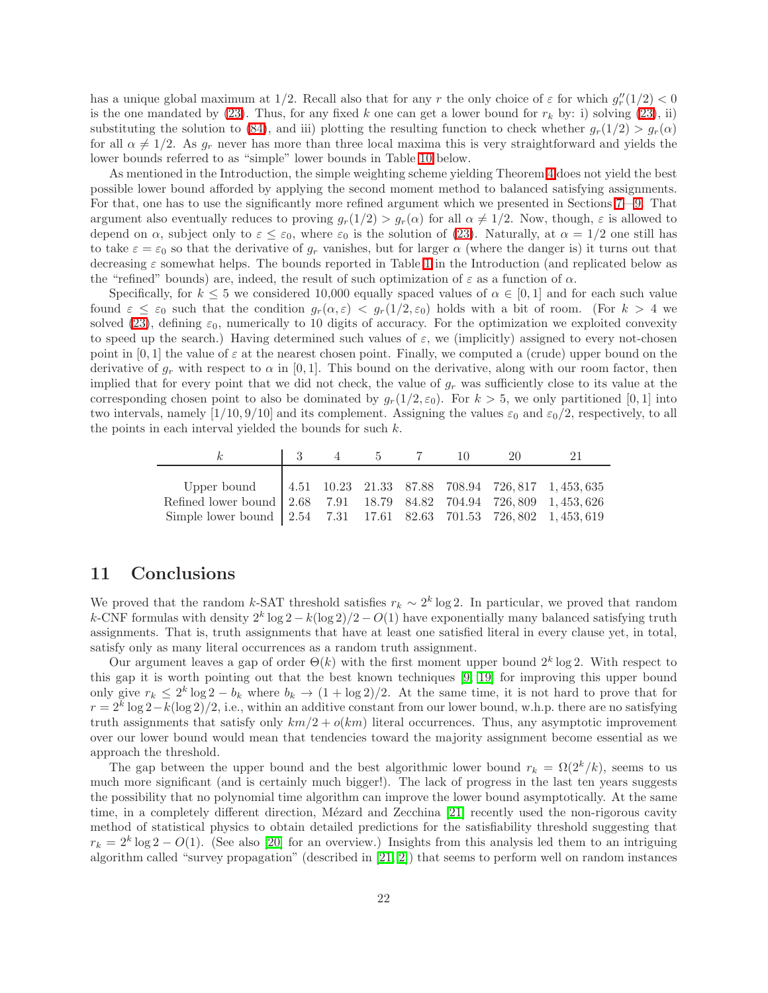has a unique global maximum at 1/2. Recall also that for any r the only choice of  $\varepsilon$  for which  $g''_r(1/2) < 0$ is the one mandated by [\(23\)](#page-9-5). Thus, for any fixed k one can get a lower bound for  $r_k$  by: i) solving (23), ii) substituting the solution to [\(84\)](#page-20-2), and iii) plotting the resulting function to check whether  $g_r(1/2) > g_r(\alpha)$ for all  $\alpha \neq 1/2$ . As  $g_r$  never has more than three local maxima this is very straightforward and yields the lower bounds referred to as "simple" lower bounds in Table [10](#page-20-2) below.

As mentioned in the Introduction, the simple weighting scheme yielding Theorem [4](#page-6-4) does not yield the best possible lower bound afforded by applying the second moment method to balanced satisfying assignments. For that, one has to use the significantly more refined argument which we presented in Sections [7](#page-13-0)[—9.](#page-16-0) That argument also eventually reduces to proving  $g_r(1/2) > g_r(\alpha)$  for all  $\alpha \neq 1/2$ . Now, though,  $\varepsilon$  is allowed to depend on  $\alpha$ , subject only to  $\varepsilon \leq \varepsilon_0$ , where  $\varepsilon_0$  is the solution of [\(23\)](#page-9-5). Naturally, at  $\alpha = 1/2$  one still has to take  $\varepsilon = \varepsilon_0$  so that the derivative of  $g_r$  vanishes, but for larger  $\alpha$  (where the danger is) it turns out that decreasing  $\varepsilon$  somewhat helps. The bounds reported in Table [1](#page-0-1) in the Introduction (and replicated below as the "refined" bounds) are, indeed, the result of such optimization of  $\varepsilon$  as a function of  $\alpha$ .

Specifically, for  $k \leq 5$  we considered 10,000 equally spaced values of  $\alpha \in [0,1]$  and for each such value found  $\varepsilon \leq \varepsilon_0$  such that the condition  $g_r(\alpha,\varepsilon) < g_r(1/2,\varepsilon_0)$  holds with a bit of room. (For  $k > 4$  we solved [\(23\)](#page-9-5), defining  $\varepsilon_0$ , numerically to 10 digits of accuracy. For the optimization we exploited convexity to speed up the search.) Having determined such values of  $\varepsilon$ , we (implicitly) assigned to every not-chosen point in [0, 1] the value of  $\varepsilon$  at the nearest chosen point. Finally, we computed a (crude) upper bound on the derivative of  $g_r$  with respect to  $\alpha$  in [0, 1]. This bound on the derivative, along with our room factor, then implied that for every point that we did not check, the value of  $g_r$  was sufficiently close to its value at the corresponding chosen point to also be dominated by  $g_r(1/2, \varepsilon_0)$ . For  $k > 5$ , we only partitioned [0, 1] into two intervals, namely  $[1/10, 9/10]$  and its complement. Assigning the values  $\varepsilon_0$  and  $\varepsilon_0/2$ , respectively, to all the points in each interval yielded the bounds for such  $k$ .

|                                                                                                                                   |  | 4 5 7 | 20. | 21 |
|-----------------------------------------------------------------------------------------------------------------------------------|--|-------|-----|----|
|                                                                                                                                   |  |       |     |    |
| Upper bound 4.51 10.23 21.33 87.88 708.94 726,817 1,453,635<br>Refined lower bound 2.68 7.91 18.79 84.82 704.94 726,809 1,453,626 |  |       |     |    |
| Simple lower bound 2.54 7.31 17.61 82.63 701.53 726, 802 1, 453, 619                                                              |  |       |     |    |

#### <span id="page-21-0"></span>11 Conclusions

We proved that the random k-SAT threshold satisfies  $r_k \sim 2^k \log 2$ . In particular, we proved that random k-CNF formulas with density  $2^k \log 2 - k(\log 2)/2 - O(1)$  have exponentially many balanced satisfying truth assignments. That is, truth assignments that have at least one satisfied literal in every clause yet, in total, satisfy only as many literal occurrences as a random truth assignment.

Our argument leaves a gap of order  $\Theta(k)$  with the first moment upper bound  $2^k \log 2$ . With respect to this gap it is worth pointing out that the best known techniques [\[9,](#page-22-3) [19\]](#page-23-5) for improving this upper bound only give  $r_k \leq 2^k \log 2 - b_k$  where  $b_k \to (1 + \log 2)/2$ . At the same time, it is not hard to prove that for  $r = 2<sup>k</sup> \log 2 - k(\log 2)/2$ , i.e., within an additive constant from our lower bound, w.h.p. there are no satisfying truth assignments that satisfy only  $km/2 + o(km)$  literal occurrences. Thus, any asymptotic improvement over our lower bound would mean that tendencies toward the majority assignment become essential as we approach the threshold.

The gap between the upper bound and the best algorithmic lower bound  $r_k = \Omega(2^k/k)$ , seems to us much more significant (and is certainly much bigger!). The lack of progress in the last ten years suggests the possibility that no polynomial time algorithm can improve the lower bound asymptotically. At the same time, in a completely different direction, Mézard and Zecchina [\[21\]](#page-23-11) recently used the non-rigorous cavity method of statistical physics to obtain detailed predictions for the satisfiability threshold suggesting that  $r_k = 2^k \log 2 - O(1)$ . (See also [\[20\]](#page-23-12) for an overview.) Insights from this analysis led them to an intriguing algorithm called "survey propagation" (described in [\[21,](#page-23-11) [2\]](#page-22-10)) that seems to perform well on random instances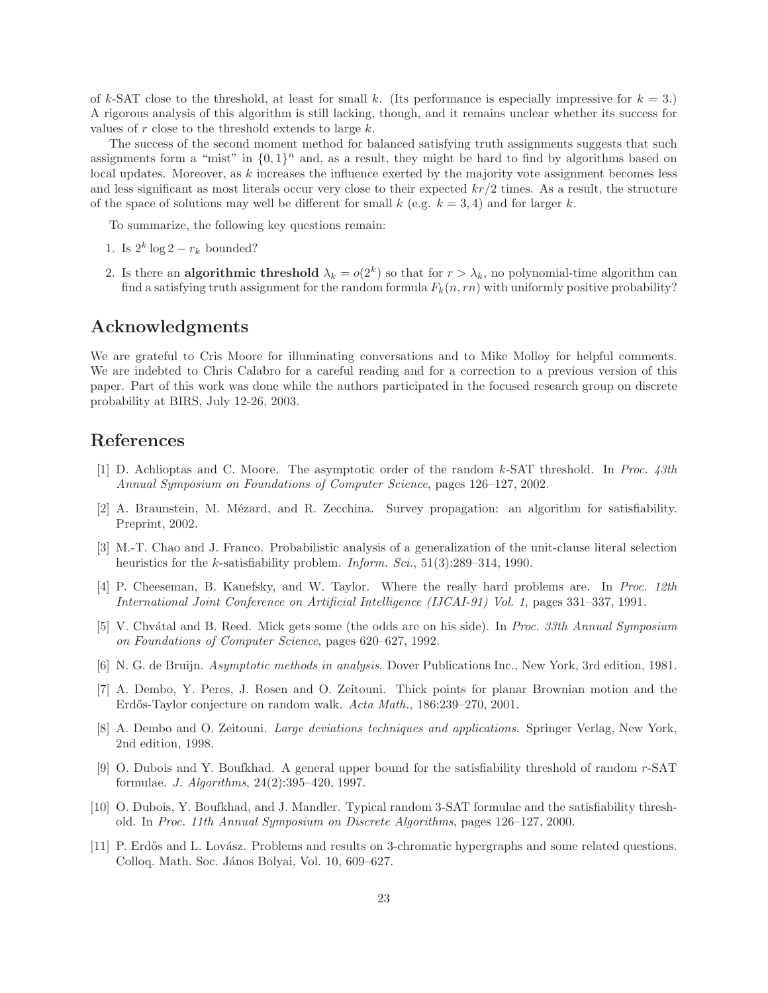of k-SAT close to the threshold, at least for small k. (Its performance is especially impressive for  $k = 3$ .) A rigorous analysis of this algorithm is still lacking, though, and it remains unclear whether its success for values of  $r$  close to the threshold extends to large  $k$ .

The success of the second moment method for balanced satisfying truth assignments suggests that such assignments form a "mist" in  $\{0,1\}$ " and, as a result, they might be hard to find by algorithms based on local updates. Moreover, as k increases the influence exerted by the majority vote assignment becomes less and less significant as most literals occur very close to their expected kr/2 times. As a result, the structure of the space of solutions may well be different for small k (e.g.  $k = 3, 4$ ) and for larger k.

To summarize, the following key questions remain:

- 1. Is  $2^k \log 2 r_k$  bounded?
- 2. Is there an **algorithmic threshold**  $\lambda_k = o(2^k)$  so that for  $r > \lambda_k$ , no polynomial-time algorithm can find a satisfying truth assignment for the random formula  $F_k(n, rn)$  with uniformly positive probability?

## Acknowledgments

We are grateful to Cris Moore for illuminating conversations and to Mike Molloy for helpful comments. We are indebted to Chris Calabro for a careful reading and for a correction to a previous version of this paper. Part of this work was done while the authors participated in the focused research group on discrete probability at BIRS, July 12-26, 2003.

## <span id="page-22-2"></span>References

- <span id="page-22-10"></span>[1] D. Achlioptas and C. Moore. The asymptotic order of the random k-SAT threshold. In Proc. 43th Annual Symposium on Foundations of Computer Science, pages 126–127, 2002.
- <span id="page-22-5"></span>[2] A. Braunstein, M. Mézard, and R. Zecchina. Survey propagation: an algorithm for satisfiability. Preprint, 2002.
- [3] M.-T. Chao and J. Franco. Probabilistic analysis of a generalization of the unit-clause literal selection heuristics for the k-satisfiability problem. *Inform. Sci.*, 51(3):289–314, 1990.
- <span id="page-22-6"></span>[4] P. Cheeseman, B. Kanefsky, and W. Taylor. Where the really hard problems are. In Proc. 12th International Joint Conference on Artificial Intelligence (IJCAI-91) Vol. 1, pages 331–337, 1991.
- <span id="page-22-1"></span>[5] V. Chvátal and B. Reed. Mick gets some (the odds are on his side). In Proc. 33th Annual Symposium on Foundations of Computer Science, pages 620–627, 1992.
- <span id="page-22-9"></span><span id="page-22-7"></span>[6] N. G. de Bruijn. Asymptotic methods in analysis. Dover Publications Inc., New York, 3rd edition, 1981.
- [7] A. Dembo, Y. Peres, J. Rosen and O. Zeitouni. Thick points for planar Brownian motion and the Erdős-Taylor conjecture on random walk. Acta Math., 186:239–270, 2001.
- <span id="page-22-8"></span>[8] A. Dembo and O. Zeitouni. Large deviations techniques and applications. Springer Verlag, New York, 2nd edition, 1998.
- <span id="page-22-3"></span>[9] O. Dubois and Y. Boufkhad. A general upper bound for the satisfiability threshold of random r-SAT formulae. J. Algorithms, 24(2):395–420, 1997.
- <span id="page-22-4"></span>[10] O. Dubois, Y. Boufkhad, and J. Mandler. Typical random 3-SAT formulae and the satisfiability threshold. In Proc. 11th Annual Symposium on Discrete Algorithms, pages 126–127, 2000.
- <span id="page-22-0"></span>[11] P. Erdős and L. Lovász. Problems and results on 3-chromatic hypergraphs and some related questions. Colloq. Math. Soc. János Bolyai, Vol. 10, 609–627.